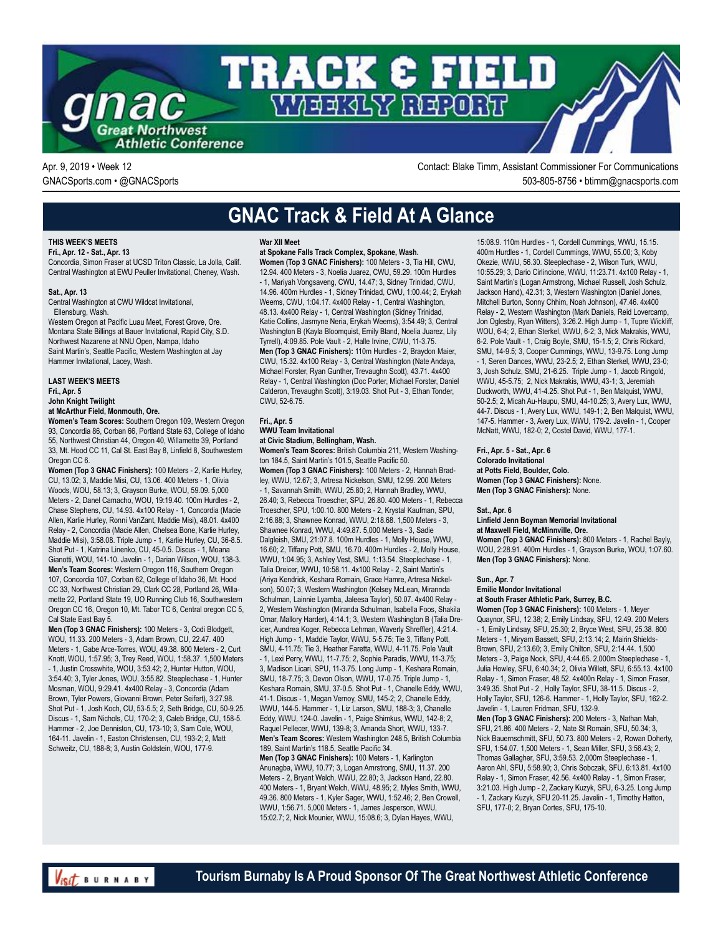

Apr. 9, 2019 • Week 12 Contact: Blake Timm, Assistant Commissioner For Communications GNACSports.com • @GNACSports 503-805-8756 • btimm@gnacsports.com

### **GNAC Track & Field At A Glance**

### **THIS WEEK'S MEETS**

**Fri., Apr. 12 - Sat., Apr. 13**

Concordia, Simon Fraser at UCSD Triton Classic, La Jolla, Calif. Central Washington at EWU Peuller Invitational, Cheney, Wash.

#### **Sat., Apr. 13**

Central Washington at CWU Wildcat Invitational,

Ellensburg, Wash.

Western Oregon at Pacific Luau Meet, Forest Grove, Ore. Montana State Billings at Bauer Invitational, Rapid City, S.D. Northwest Nazarene at NNU Open, Nampa, Idaho Saint Martin's, Seattle Pacific, Western Washington at Jay Hammer Invitational, Lacey, Wash.

**LAST WEEK'S MEETS Fri., Apr. 5 John Knight Twilight**

#### **at McArthur Field, Monmouth, Ore.**

**Women's Team Scores:** Southern Oregon 109, Western Oregon 93, Concordia 86, Corban 66, Portland State 63, College of Idaho 55, Northwest Christian 44, Oregon 40, Willamette 39, Portland 33, Mt. Hood CC 11, Cal St. East Bay 8, Linfield 8, Southwestern Oregon CC 6.

**Women (Top 3 GNAC Finishers):** 100 Meters - 2, Karlie Hurley, CU, 13.02; 3, Maddie Misi, CU, 13.06. 400 Meters - 1, Olivia Woods, WOU, 58.13; 3, Grayson Burke, WOU, 59.09. 5,000 Meters - 2, Danel Camacho, WOU, 19:19.40. 100m Hurdles - 2, Chase Stephens, CU, 14.93. 4x100 Relay - 1, Concordia (Macie Allen, Karlie Hurley, Ronni VanZant, Maddie Misi), 48.01. 4x400 Relay - 2, Concordia (Macie Allen, Chelsea Bone, Karlie Hurley, Maddie Misi), 3:58.08. Triple Jump - 1, Karlie Hurley, CU, 36-8.5. Shot Put - 1, Katrina Linenko, CU, 45-0.5. Discus - 1, Moana Gianotti, WOU, 141-10. Javelin - 1, Darian Wilson, WOU, 138-3. **Men's Team Scores:** Western Oregon 116, Southern Oregon 107, Concordia 107, Corban 62, College of Idaho 36, Mt. Hood CC 33, Northwest Christian 29, Clark CC 28, Portland 26, Willamette 22, Portland State 19, UO Running Club 16, Southwestern Oregon CC 16, Oregon 10, Mt. Tabor TC 6, Central oregon CC 5, Cal State East Bay 5.

**Men (Top 3 GNAC Finishers):** 100 Meters - 3, Codi Blodgett, WOU, 11.33. 200 Meters - 3, Adam Brown, CU, 22.47. 400 Meters - 1, Gabe Arce-Torres, WOU, 49.38. 800 Meters - 2, Curt Knott, WOU, 1:57.95; 3, Trey Reed, WOU, 1:58.37. 1,500 Meters - 1, Justin Crosswhite, WOU, 3:53.42; 2, Hunter Hutton, WOU, 3:54.40; 3, Tyler Jones, WOU, 3:55.82. Steeplechase - 1, Hunter Mosman, WOU, 9:29.41. 4x400 Relay - 3, Concordia (Adam Brown, Tyler Powers, Giovanni Brown, Peter Seifert), 3:27.98. Shot Put - 1, Josh Koch, CU, 53-5.5; 2, Seth Bridge, CU, 50-9.25. Discus - 1, Sam Nichols, CU, 170-2; 3, Caleb Bridge, CU, 158-5. Hammer - 2, Joe Denniston, CU, 173-10; 3, Sam Cole, WOU, 164-11. Javelin - 1, Easton Christensen, CU, 193-2; 2, Matt Schweitz, CU, 188-8; 3, Austin Goldstein, WOU, 177-9.

#### **War XII Meet**

### **at Spokane Falls Track Complex, Spokane, Wash.**

**Women (Top 3 GNAC Finishers):** 100 Meters - 3, Tia Hill, CWU, 12.94. 400 Meters - 3, Noelia Juarez, CWU, 59.29. 100m Hurdles - 1, Mariyah Vongsaveng, CWU, 14.47; 3, Sidney Trinidad, CWU, 14.96. 400m Hurdles - 1, Sidney Trinidad, CWU, 1:00.44; 2, Erykah Weems, CWU, 1:04.17. 4x400 Relay - 1, Central Washington, 48.13. 4x400 Relay - 1, Central Washington (Sidney Trinidad, Katie Collins, Jasmyne Neria, Erykah Weems), 3:54.49; 3, Central Washington B (Kayla Bloomquist, Emily Bland, Noelia Juarez, Lily Tyrrell), 4:09.85. Pole Vault - 2, Halle Irvine, CWU, 11-3.75. **Men (Top 3 GNAC Finishers):** 110m Hurdles - 2, Braydon Maier, CWU, 15.32. 4x100 Relay - 3, Central Washington (Nate Andaya, Michael Forster, Ryan Gunther, Trevaughn Scott), 43.71. 4x400 Relay - 1, Central Washington (Doc Porter, Michael Forster, Daniel Calderon, Trevaughn Scott), 3:19.03. Shot Put - 3, Ethan Tonder, CWU, 52-6.75.

#### **Fri., Apr. 5 WWU Team Invitational at Civic Stadium, Bellingham, Wash.**

**Women's Team Scores:** British Columbia 211, Western Washington 184.5, Saint Martin's 101.5, Seattle Pacific 50. **Women (Top 3 GNAC Finishers):** 100 Meters - 2, Hannah Bradley, WWU, 12.67; 3, Artresa Nickelson, SMU, 12.99. 200 Meters - 1, Savannah Smith, WWU, 25.80; 2, Hannah Bradley, WWU, 26.40; 3, Rebecca Troescher, SPU, 26.80. 400 Meters - 1, Rebecca Troescher, SPU, 1:00.10. 800 Meters - 2, Krystal Kaufman, SPU, 2:16.88; 3, Shawnee Konrad, WWU, 2:18.68. 1,500 Meters - 3, Shawnee Konrad, WWU, 4:49.87. 5,000 Meters - 3, Sadie Dalgleish, SMU, 21:07.8. 100m Hurdles - 1, Molly House, WWU, 16.60; 2, Tiffany Pott, SMU, 16.70. 400m Hurdles - 2, Molly House, WWU, 1:04.95; 3, Ashley Vest, SMU, 1:13.54. Steeplechase - 1, Talia Dreicer, WWU, 10:58.11. 4x100 Relay - 2, Saint Martin's (Ariya Kendrick, Keshara Romain, Grace Hamre, Artresa Nickelson), 50.07; 3, Western Washington (Kelsey McLean, Mirannda Schulman, Lainnie Lyamba, Jaleesa Taylor), 50.07. 4x400 Relay - 2, Western Washington (Miranda Schulman, Isabella Foos, Shakila Omar, Mallory Harder), 4:14.1; 3, Western Washington B (Talia Dreicer, Aundrea Koger, Rebecca Lehman, Waverly Shreffler), 4:21.4. High Jump - 1, Maddie Taylor, WWU, 5-5.75; Tie 3, Tiffany Pott, SMU, 4-11.75; Tie 3, Heather Faretta, WWU, 4-11.75. Pole Vault - 1, Lexi Perry, WWU, 11-7.75; 2, Sophie Paradis, WWU, 11-3.75; 3, Madison Licari, SPU, 11-3.75. Long Jump - 1, Keshara Romain, SMU, 18-7.75; 3, Devon Olson, WWU, 17-0.75. Triple Jump - 1, Keshara Romain, SMU, 37-0.5. Shot Put - 1, Chanelle Eddy, WWU, 41-1. Discus - 1, Megan Vernoy, SMU, 145-2; 2, Chanelle Eddy, WWU, 144-5. Hammer - 1, Liz Larson, SMU, 188-3; 3, Chanelle Eddy, WWU, 124-0. Javelin - 1, Paige Shimkus, WWU, 142-8; 2, Raquel Pellecer, WWU, 139-8; 3, Amanda Short, WWU, 133-7. **Men's Team Scores:** Western Washington 248.5, British Columbia 189, Saint Martin's 118.5, Seattle Pacific 34.

**Men (Top 3 GNAC Finishers):** 100 Meters - 1, Karlington Anunagba, WWU, 10.77; 3, Logan Amrstrong, SMU, 11.37. 200 Meters - 2, Bryant Welch, WWU, 22.80; 3, Jackson Hand, 22.80. 400 Meters - 1, Bryant Welch, WWU, 48.95; 2, Myles Smith, WWU, 49.36. 800 Meters - 1, Kyler Sager, WWU, 1:52.46; 2, Ben Crowell, WWU, 1:56.71. 5,000 Meters - 1, James Jesperson, WWU, 15:02.7; 2, Nick Mounier, WWU, 15:08.6; 3, Dylan Hayes, WWU,

15:08.9. 110m Hurdles - 1, Cordell Cummings, WWU, 15.15. 400m Hurdles - 1, Cordell Cummings, WWU, 55.00; 3, Koby Okezie, WWU, 56.30. Steeplechase - 2, Wilson Turk, WWU, 10:55.29; 3, Dario Cirlincione, WWU, 11:23.71. 4x100 Relay - 1, Saint Martin's (Logan Armstrong, Michael Russell, Josh Schulz, Jackson Hand), 42.31; 3, Western Washington (Daniel Jones, Mitchell Burton, Sonny Chhim, Noah Johnson), 47.46. 4x400 Relay - 2, Western Washington (Mark Daniels, Reid Lovercamp, Jon Oglesby, Ryan Witters), 3:26.2. High Jump - 1, Tupre Wickliff, WOU, 6-4; 2, Ethan Sterkel, WWU, 6-2; 3, Nick Makrakis, WWU, 6-2. Pole Vault - 1, Craig Boyle, SMU, 15-1.5; 2, Chris Rickard, SMU, 14-9.5; 3, Cooper Cummings, WWU, 13-9.75. Long Jump - 1, Seren Dances, WWU, 23-2.5; 2, Ethan Sterkel, WWU, 23-0; 3, Josh Schulz, SMU, 21-6.25. Triple Jump - 1, Jacob Ringold, WWU, 45-5.75; 2, Nick Makrakis, WWU, 43-1; 3, Jeremiah Duckworth, WWU, 41-4.25. Shot Put - 1, Ben Malquist, WWU, 50-2.5; 2, Micah Au-Haupu, SMU, 44-10.25; 3, Avery Lux, WWU, 44-7. Discus - 1, Avery Lux, WWU, 149-1; 2, Ben Malquist, WWU, 147-5. Hammer - 3, Avery Lux, WWU, 179-2. Javelin - 1, Cooper McNatt, WWU, 182-0; 2, Costel David, WWU, 177-1.

**Fri., Apr. 5 - Sat., Apr. 6 Colorado Invitational at Potts Field, Boulder, Colo. Women (Top 3 GNAC Finishers):** None. **Men (Top 3 GNAC Finishers):** None.

**Sat., Apr. 6**

#### **Linfield Jenn Boyman Memorial Invitational at Maxwell Field, McMinnville, Ore.**

**Women (Top 3 GNAC Finishers):** 800 Meters - 1, Rachel Bayly, WOU, 2:28.91. 400m Hurdles - 1, Grayson Burke, WOU, 1:07.60. **Men (Top 3 GNAC Finishers):** None.

**Sun., Apr. 7**

### **Emilie Mondor Invitational**

**at South Fraser Athletic Park, Surrey, B.C.**

**Women (Top 3 GNAC Finishers):** 100 Meters - 1, Meyer Quaynor, SFU, 12.38; 2, Emily Lindsay, SFU, 12.49. 200 Meters - 1, Emily Lindsay, SFU, 25.30; 2, Bryce West, SFU, 25.38. 800 Meters - 1, Miryam Bassett, SFU, 2:13.14; 2, Mairin Shields-Brown, SFU, 2:13.60; 3, Emily Chilton, SFU, 2:14.44. 1,500 Meters - 3, Paige Nock, SFU, 4:44.65. 2,000m Steeplechase - 1, Julia Howley, SFU, 6:40.34; 2, Olivia Willett, SFU, 6:55.13. 4x100 Relay - 1, Simon Fraser, 48.52. 4x400n Relay - 1, Simon Fraser, 3:49.35. Shot Put - 2 , Holly Taylor, SFU, 38-11.5. Discus - 2, Holly Taylor, SFU, 126-6. Hammer - 1, Holly Taylor, SFU, 162-2. Javelin - 1, Lauren Fridman, SFU, 132-9.

**Men (Top 3 GNAC Finishers):** 200 Meters - 3, Nathan Mah, SFU, 21.86. 400 Meters - 2, Nate St Romain, SFU, 50.34; 3, Nick Bauernschmitt, SFU, 50.73. 800 Meters - 2, Rowan Doherty, SFU, 1:54.07. 1,500 Meters - 1, Sean Miller, SFU, 3:56.43; 2, Thomas Gallagher, SFU, 3:59.53. 2,000m Steeplechase - 1, Aaron Ahl, SFU, 5:58.90; 3, Chris Sobczak, SFU, 6:13.81. 4x100 Relay - 1, Simon Fraser, 42.56. 4x400 Relay - 1, Simon Fraser, 3:21.03. High Jump - 2, Zackary Kuzyk, SFU, 6-3.25. Long Jump - 1, Zackary Kuzyk, SFU 20-11.25. Javelin - 1, Timothy Hatton, SFU, 177-0; 2, Bryan Cortes, SFU, 175-10.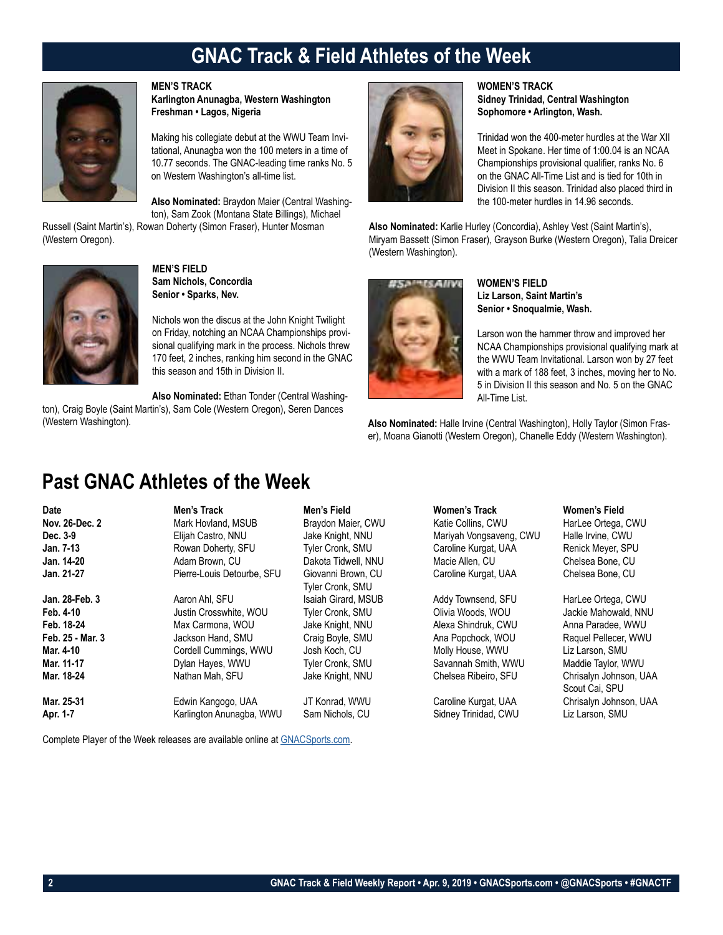# **GNAC Track & Field Athletes of the Week**



### **MEN'S TRACK**

**Karlington Anunagba, Western Washington Freshman • Lagos, Nigeria**

Making his collegiate debut at the WWU Team Invitational, Anunagba won the 100 meters in a time of 10.77 seconds. The GNAC-leading time ranks No. 5 on Western Washington's all-time list.

**Also Nominated:** Braydon Maier (Central Washington), Sam Zook (Montana State Billings), Michael

Russell (Saint Martin's), Rowan Doherty (Simon Fraser), Hunter Mosman (Western Oregon).



**MEN'S FIELD Sam Nichols, Concordia Senior • Sparks, Nev.**

Nichols won the discus at the John Knight Twilight on Friday, notching an NCAA Championships provisional qualifying mark in the process. Nichols threw 170 feet, 2 inches, ranking him second in the GNAC this season and 15th in Division II.

**Also Nominated:** Ethan Tonder (Central Washington), Craig Boyle (Saint Martin's), Sam Cole (Western Oregon), Seren Dances (Western Washington).



### **WOMEN'S TRACK Sidney Trinidad, Central Washington Sophomore • Arlington, Wash.**

Trinidad won the 400-meter hurdles at the War XII Meet in Spokane. Her time of 1:00.04 is an NCAA Championships provisional qualifier, ranks No. 6 on the GNAC All-Time List and is tied for 10th in Division II this season. Trinidad also placed third in the 100-meter hurdles in 14.96 seconds.

**Also Nominated:** Karlie Hurley (Concordia), Ashley Vest (Saint Martin's), Miryam Bassett (Simon Fraser), Grayson Burke (Western Oregon), Talia Dreicer (Western Washington).



**WOMEN'S FIELD Liz Larson, Saint Martin's Senior • Snoqualmie, Wash.**

Larson won the hammer throw and improved her NCAA Championships provisional qualifying mark at the WWU Team Invitational. Larson won by 27 feet with a mark of 188 feet, 3 inches, moving her to No. 5 in Division II this season and No. 5 on the GNAC All-Time List.

**Also Nominated:** Halle Irvine (Central Washington), Holly Taylor (Simon Fraser), Moana Gianotti (Western Oregon), Chanelle Eddy (Western Washington).

### **Past GNAC Athletes of the Week**

| Date<br>Nov. 26-Dec. 2<br>Dec. 3-9<br>Jan. 7-13 | Men's Track<br>Mark Hovland, MSUB<br>Elijah Castro, NNU<br>Rowan Doherty, SFU | Men's Field<br>Braydon Maier, CWU<br>Jake Knight, NNU<br>Tyler Cronk, SMU | Women's Track<br>Katie Collins, CWU<br>Mariyah Vongsaveng, CWU<br>Caroline Kurgat, UAA | Women's Field<br>HarLee Ortega, CWU<br>Halle Irvine, CWU<br>Renick Meyer, SPU |
|-------------------------------------------------|-------------------------------------------------------------------------------|---------------------------------------------------------------------------|----------------------------------------------------------------------------------------|-------------------------------------------------------------------------------|
| Jan. 14-20                                      | Adam Brown, CU                                                                | Dakota Tidwell, NNU                                                       | Macie Allen, CU                                                                        | Chelsea Bone, CU                                                              |
| Jan. 21-27                                      | Pierre-Louis Detourbe, SFU                                                    | Giovanni Brown, CU<br>Tyler Cronk, SMU                                    | Caroline Kurgat, UAA                                                                   | Chelsea Bone, CU                                                              |
| Jan. 28-Feb. 3                                  | Aaron Ahl, SFU                                                                | Isaiah Girard, MSUB                                                       | Addy Townsend, SFU                                                                     | HarLee Ortega, CWU                                                            |
| Feb. 4-10                                       | Justin Crosswhite, WOU                                                        | Tyler Cronk, SMU                                                          | Olivia Woods, WOU                                                                      | Jackie Mahowald, NNU                                                          |
| Feb. 18-24                                      | Max Carmona, WOU                                                              | Jake Knight, NNU                                                          | Alexa Shindruk, CWU                                                                    | Anna Paradee, WWU                                                             |
| Feb. 25 - Mar. 3                                | Jackson Hand, SMU                                                             | Craig Boyle, SMU                                                          | Ana Popchock, WOU                                                                      | Raquel Pellecer, WWU                                                          |
| Mar. 4-10                                       | Cordell Cummings, WWU                                                         | Josh Koch, CU                                                             | Molly House, WWU                                                                       | Liz Larson, SMU                                                               |
| Mar. 11-17                                      | Dylan Hayes, WWU                                                              | Tyler Cronk, SMU                                                          | Savannah Smith, WWU                                                                    | Maddie Taylor, WWU                                                            |
| Mar. 18-24                                      | Nathan Mah, SFU                                                               | Jake Knight, NNU                                                          | Chelsea Ribeiro, SFU                                                                   | Chrisalyn Johnson, UAA<br>Scout Cai, SPU                                      |
| Mar. 25-31                                      | Edwin Kangogo, UAA                                                            | JT Konrad, WWU                                                            | Caroline Kurgat, UAA                                                                   | Chrisalyn Johnson, UAA                                                        |
| Apr. 1-7                                        | Karlington Anunagba, WWU                                                      | Sam Nichols, CU                                                           | Sidney Trinidad, CWU                                                                   | Liz Larson, SMU                                                               |

Complete Player of the Week releases are available online at GNACSports.com.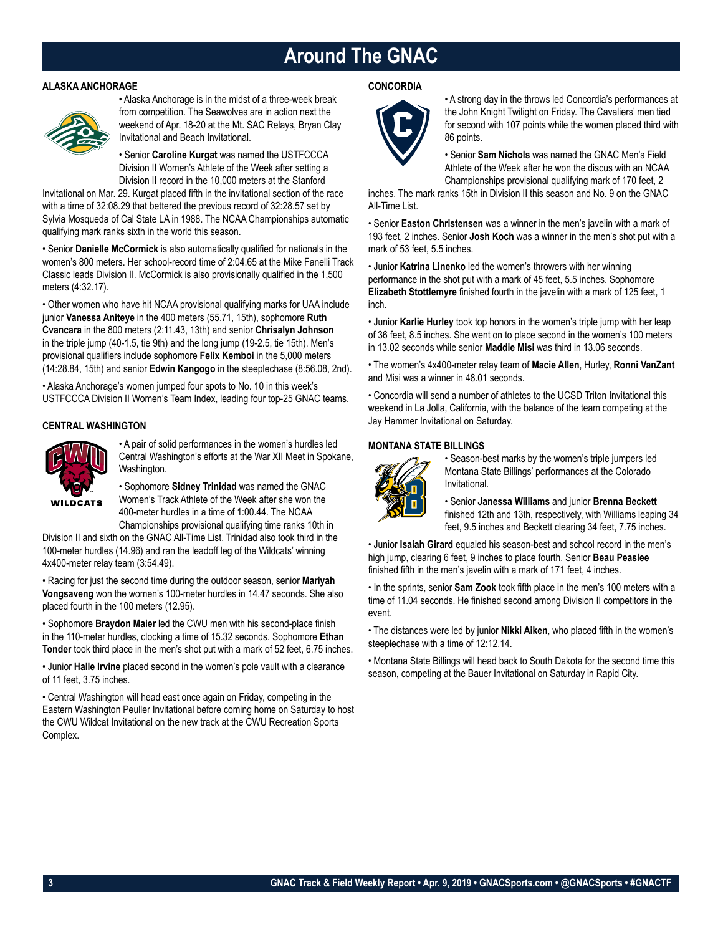## **Around The GNAC**

### **ALASKA ANCHORAGE**



• Alaska Anchorage is in the midst of a three-week break from competition. The Seawolves are in action next the weekend of Apr. 18-20 at the Mt. SAC Relays, Bryan Clay Invitational and Beach Invitational.

• Senior **Caroline Kurgat** was named the USTFCCCA Division II Women's Athlete of the Week after setting a Division II record in the 10,000 meters at the Stanford

Invitational on Mar. 29. Kurgat placed fifth in the invitational section of the race with a time of 32:08.29 that bettered the previous record of 32:28.57 set by Sylvia Mosqueda of Cal State LA in 1988. The NCAA Championships automatic qualifying mark ranks sixth in the world this season.

• Senior **Danielle McCormick** is also automatically qualified for nationals in the women's 800 meters. Her school-record time of 2:04.65 at the Mike Fanelli Track Classic leads Division II. McCormick is also provisionally qualified in the 1,500 meters (4:32.17).

• Other women who have hit NCAA provisional qualifying marks for UAA include junior **Vanessa Aniteye** in the 400 meters (55.71, 15th), sophomore **Ruth Cvancara** in the 800 meters (2:11.43, 13th) and senior **Chrisalyn Johnson** in the triple jump (40-1.5, tie 9th) and the long jump (19-2.5, tie 15th). Men's provisional qualifiers include sophomore **Felix Kemboi** in the 5,000 meters (14:28.84, 15th) and senior **Edwin Kangogo** in the steeplechase (8:56.08, 2nd).

• Alaska Anchorage's women jumped four spots to No. 10 in this week's USTFCCCA Division II Women's Team Index, leading four top-25 GNAC teams.

### **CENTRAL WASHINGTON**



• A pair of solid performances in the women's hurdles led Central Washington's efforts at the War XII Meet in Spokane, Washington.

**WILDCATS** 

• Sophomore **Sidney Trinidad** was named the GNAC Women's Track Athlete of the Week after she won the 400-meter hurdles in a time of 1:00.44. The NCAA Championships provisional qualifying time ranks 10th in

Division II and sixth on the GNAC All-Time List. Trinidad also took third in the 100-meter hurdles (14.96) and ran the leadoff leg of the Wildcats' winning 4x400-meter relay team (3:54.49).

• Racing for just the second time during the outdoor season, senior **Mariyah Vongsaveng** won the women's 100-meter hurdles in 14.47 seconds. She also placed fourth in the 100 meters (12.95).

• Sophomore **Braydon Maier** led the CWU men with his second-place finish in the 110-meter hurdles, clocking a time of 15.32 seconds. Sophomore **Ethan Tonder** took third place in the men's shot put with a mark of 52 feet, 6.75 inches.

• Junior **Halle Irvine** placed second in the women's pole vault with a clearance of 11 feet, 3.75 inches.

• Central Washington will head east once again on Friday, competing in the Eastern Washington Peuller Invitational before coming home on Saturday to host the CWU Wildcat Invitational on the new track at the CWU Recreation Sports Complex.

### **CONCORDIA**



• A strong day in the throws led Concordia's performances at the John Knight Twilight on Friday. The Cavaliers' men tied for second with 107 points while the women placed third with 86 points.

• Senior **Sam Nichols** was named the GNAC Men's Field Athlete of the Week after he won the discus with an NCAA Championships provisional qualifying mark of 170 feet, 2

inches. The mark ranks 15th in Division II this season and No. 9 on the GNAC All-Time List.

• Senior **Easton Christensen** was a winner in the men's javelin with a mark of 193 feet, 2 inches. Senior **Josh Koch** was a winner in the men's shot put with a mark of 53 feet, 5.5 inches.

• Junior **Katrina Linenko** led the women's throwers with her winning performance in the shot put with a mark of 45 feet, 5.5 inches. Sophomore **Elizabeth Stottlemyre** finished fourth in the javelin with a mark of 125 feet, 1 inch.

• Junior **Karlie Hurley** took top honors in the women's triple jump with her leap of 36 feet, 8.5 inches. She went on to place second in the women's 100 meters in 13.02 seconds while senior **Maddie Misi** was third in 13.06 seconds.

• The women's 4x400-meter relay team of **Macie Allen**, Hurley, **Ronni VanZant** and Misi was a winner in 48.01 seconds.

• Concordia will send a number of athletes to the UCSD Triton Invitational this weekend in La Jolla, California, with the balance of the team competing at the Jay Hammer Invitational on Saturday.

### **MONTANA STATE BILLINGS**



• Season-best marks by the women's triple jumpers led Montana State Billings' performances at the Colorado Invitational.

• Senior **Janessa Williams** and junior **Brenna Beckett** finished 12th and 13th, respectively, with Williams leaping 34 feet, 9.5 inches and Beckett clearing 34 feet, 7.75 inches.

• Junior **Isaiah Girard** equaled his season-best and school record in the men's high jump, clearing 6 feet, 9 inches to place fourth. Senior **Beau Peaslee** finished fifth in the men's javelin with a mark of 171 feet, 4 inches.

• In the sprints, senior **Sam Zook** took fifth place in the men's 100 meters with a time of 11.04 seconds. He finished second among Division II competitors in the event.

• The distances were led by junior **Nikki Aiken**, who placed fifth in the women's steeplechase with a time of 12:12.14.

• Montana State Billings will head back to South Dakota for the second time this season, competing at the Bauer Invitational on Saturday in Rapid City.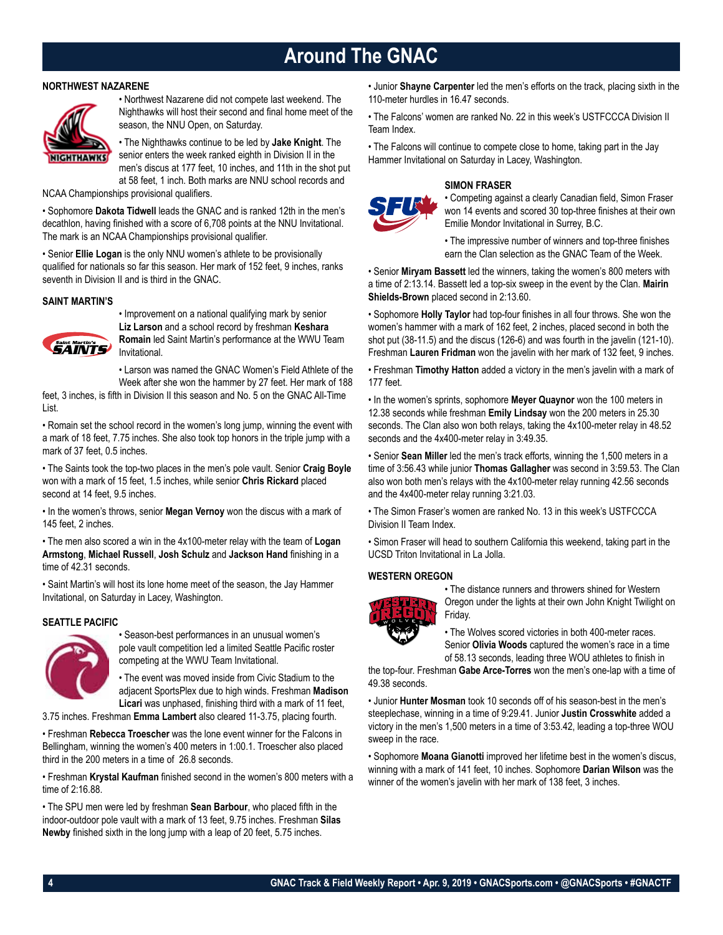# **Around The GNAC**

### **NORTHWEST NAZARENE**



• Northwest Nazarene did not compete last weekend. The Nighthawks will host their second and final home meet of the season, the NNU Open, on Saturday.

• The Nighthawks continue to be led by **Jake Knight**. The senior enters the week ranked eighth in Division II in the men's discus at 177 feet, 10 inches, and 11th in the shot put at 58 feet, 1 inch. Both marks are NNU school records and

NCAA Championships provisional qualifiers.

• Sophomore **Dakota Tidwell** leads the GNAC and is ranked 12th in the men's decathlon, having finished with a score of 6,708 points at the NNU Invitational. The mark is an NCAA Championships provisional qualifier.

• Senior **Ellie Logan** is the only NNU women's athlete to be provisionally qualified for nationals so far this season. Her mark of 152 feet, 9 inches, ranks seventh in Division II and is third in the GNAC.

### **SAINT MARTIN'S**



• Improvement on a national qualifying mark by senior **Liz Larson** and a school record by freshman **Keshara Romain** led Saint Martin's performance at the WWU Team Invitational.

• Larson was named the GNAC Women's Field Athlete of the Week after she won the hammer by 27 feet. Her mark of 188

feet, 3 inches, is fifth in Division II this season and No. 5 on the GNAC All-Time List.

• Romain set the school record in the women's long jump, winning the event with a mark of 18 feet, 7.75 inches. She also took top honors in the triple jump with a mark of 37 feet, 0.5 inches.

• The Saints took the top-two places in the men's pole vault. Senior **Craig Boyle** won with a mark of 15 feet, 1.5 inches, while senior **Chris Rickard** placed second at 14 feet, 9.5 inches.

• In the women's throws, senior **Megan Vernoy** won the discus with a mark of 145 feet, 2 inches.

• The men also scored a win in the 4x100-meter relay with the team of **Logan Armstong**, **Michael Russell**, **Josh Schulz** and **Jackson Hand** finishing in a time of 42.31 seconds.

• Saint Martin's will host its lone home meet of the season, the Jay Hammer Invitational, on Saturday in Lacey, Washington.

### **SEATTLE PACIFIC**



• Season-best performances in an unusual women's pole vault competition led a limited Seattle Pacific roster competing at the WWU Team Invitational.

• The event was moved inside from Civic Stadium to the adjacent SportsPlex due to high winds. Freshman **Madison Licari** was unphased, finishing third with a mark of 11 feet,

3.75 inches. Freshman **Emma Lambert** also cleared 11-3.75, placing fourth.

• Freshman **Rebecca Troescher** was the lone event winner for the Falcons in Bellingham, winning the women's 400 meters in 1:00.1. Troescher also placed third in the 200 meters in a time of 26.8 seconds.

• Freshman **Krystal Kaufman** finished second in the women's 800 meters with a time of 2:16.88.

• The SPU men were led by freshman **Sean Barbour**, who placed fifth in the indoor-outdoor pole vault with a mark of 13 feet, 9.75 inches. Freshman **Silas Newby** finished sixth in the long jump with a leap of 20 feet, 5.75 inches.

• Junior **Shayne Carpenter** led the men's efforts on the track, placing sixth in the 110-meter hurdles in 16.47 seconds.

• The Falcons' women are ranked No. 22 in this week's USTFCCCA Division II Team Index.

• The Falcons will continue to compete close to home, taking part in the Jay Hammer Invitational on Saturday in Lacey, Washington.

### **SIMON FRASER**



• Competing against a clearly Canadian field, Simon Fraser won 14 events and scored 30 top-three finishes at their own Emilie Mondor Invitational in Surrey, B.C.

• The impressive number of winners and top-three finishes earn the Clan selection as the GNAC Team of the Week.

• Senior **Miryam Bassett** led the winners, taking the women's 800 meters with a time of 2:13.14. Bassett led a top-six sweep in the event by the Clan. **Mairin Shields-Brown** placed second in 2:13.60.

• Sophomore **Holly Taylor** had top-four finishes in all four throws. She won the women's hammer with a mark of 162 feet, 2 inches, placed second in both the shot put (38-11.5) and the discus (126-6) and was fourth in the javelin (121-10). Freshman **Lauren Fridman** won the javelin with her mark of 132 feet, 9 inches.

• Freshman **Timothy Hatton** added a victory in the men's javelin with a mark of 177 feet.

• In the women's sprints, sophomore **Meyer Quaynor** won the 100 meters in 12.38 seconds while freshman **Emily Lindsay** won the 200 meters in 25.30 seconds. The Clan also won both relays, taking the 4x100-meter relay in 48.52 seconds and the 4x400-meter relay in 3:49.35.

• Senior **Sean Miller** led the men's track efforts, winning the 1,500 meters in a time of 3:56.43 while junior **Thomas Gallagher** was second in 3:59.53. The Clan also won both men's relays with the 4x100-meter relay running 42.56 seconds and the 4x400-meter relay running 3:21.03.

• The Simon Fraser's women are ranked No. 13 in this week's USTFCCCA Division II Team Index.

• Simon Fraser will head to southern California this weekend, taking part in the UCSD Triton Invitational in La Jolla.

### **WESTERN OREGON**



• The distance runners and throwers shined for Western Oregon under the lights at their own John Knight Twilight on Friday.

• The Wolves scored victories in both 400-meter races. Senior **Olivia Woods** captured the women's race in a time of 58.13 seconds, leading three WOU athletes to finish in

the top-four. Freshman **Gabe Arce-Torres** won the men's one-lap with a time of 49.38 seconds.

• Junior **Hunter Mosman** took 10 seconds off of his season-best in the men's steeplechase, winning in a time of 9:29.41. Junior **Justin Crosswhite** added a victory in the men's 1,500 meters in a time of 3:53.42, leading a top-three WOU sweep in the race.

• Sophomore **Moana Gianotti** improved her lifetime best in the women's discus, winning with a mark of 141 feet, 10 inches. Sophomore **Darian Wilson** was the winner of the women's javelin with her mark of 138 feet, 3 inches.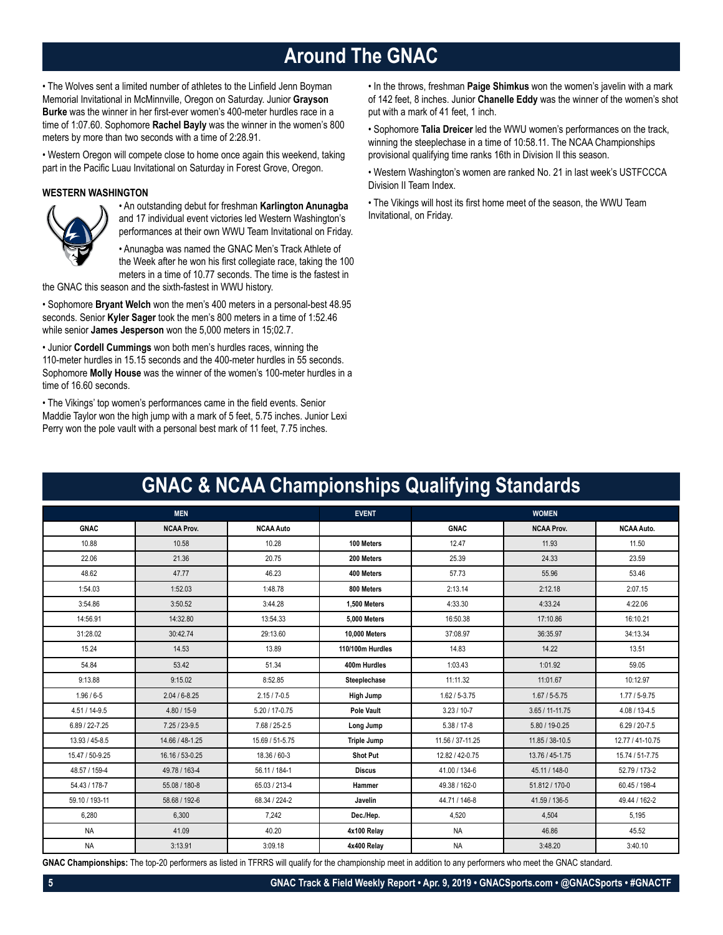# **Around The GNAC**

• The Wolves sent a limited number of athletes to the Linfield Jenn Boyman Memorial Invitational in McMinnville, Oregon on Saturday. Junior **Grayson Burke** was the winner in her first-ever women's 400-meter hurdles race in a time of 1:07.60. Sophomore **Rachel Bayly** was the winner in the women's 800 meters by more than two seconds with a time of 2:28.91.

• Western Oregon will compete close to home once again this weekend, taking part in the Pacific Luau Invitational on Saturday in Forest Grove, Oregon.

### **WESTERN WASHINGTON**



• An outstanding debut for freshman **Karlington Anunagba** and 17 individual event victories led Western Washington's performances at their own WWU Team Invitational on Friday.

• Anunagba was named the GNAC Men's Track Athlete of the Week after he won his first collegiate race, taking the 100

meters in a time of 10.77 seconds. The time is the fastest in the GNAC this season and the sixth-fastest in WWU history.

• Sophomore **Bryant Welch** won the men's 400 meters in a personal-best 48.95 seconds. Senior **Kyler Sager** took the men's 800 meters in a time of 1:52.46 while senior **James Jesperson** won the 5,000 meters in 15;02.7.

• Junior **Cordell Cummings** won both men's hurdles races, winning the 110-meter hurdles in 15.15 seconds and the 400-meter hurdles in 55 seconds. Sophomore **Molly House** was the winner of the women's 100-meter hurdles in a time of 16.60 seconds.

• The Vikings' top women's performances came in the field events. Senior Maddie Taylor won the high jump with a mark of 5 feet, 5.75 inches. Junior Lexi Perry won the pole vault with a personal best mark of 11 feet, 7.75 inches.

• In the throws, freshman **Paige Shimkus** won the women's javelin with a mark of 142 feet, 8 inches. Junior **Chanelle Eddy** was the winner of the women's shot put with a mark of 41 feet, 1 inch.

• Sophomore **Talia Dreicer** led the WWU women's performances on the track, winning the steeplechase in a time of 10:58.11. The NCAA Championships provisional qualifying time ranks 16th in Division II this season.

• Western Washington's women are ranked No. 21 in last week's USTFCCCA Division II Team Index.

• The Vikings will host its first home meet of the season, the WWU Team Invitational, on Friday.

|                   |                   |                  |                      | UNAO & NOAA OHampionships Quamying Olanuarus |                     |                   |
|-------------------|-------------------|------------------|----------------------|----------------------------------------------|---------------------|-------------------|
|                   | <b>MEN</b>        |                  | <b>EVENT</b>         |                                              | <b>WOMEN</b>        |                   |
| <b>GNAC</b>       | <b>NCAA Prov.</b> | <b>NCAA Auto</b> |                      | <b>GNAC</b>                                  | <b>NCAA Prov.</b>   | <b>NCAA Auto.</b> |
| 10.88             | 10.58             | 10.28            | 100 Meters           | 12.47                                        | 11.93               | 11.50             |
| 22.06             | 21.36             | 20.75            | 200 Meters           | 25.39                                        | 24.33               | 23.59             |
| 48.62             | 47.77             | 46.23            | 400 Meters           | 57.73                                        | 55.96               | 53.46             |
| 1:54.03           | 1:52.03           | 1:48.78          | 800 Meters           | 2:13.14                                      | 2:12.18             | 2:07.15           |
| 3:54.86           | 3:50.52           | 3:44.28          | 1,500 Meters         | 4:33.30                                      | 4:33.24             | 4:22.06           |
| 14:56.91          | 14:32.80          | 13:54.33         | 5,000 Meters         | 16:50.38                                     | 17:10.86            | 16:10.21          |
| 31:28.02          | 30:42.74          | 29:13.60         | <b>10,000 Meters</b> | 37:08.97                                     | 36:35.97            | 34:13.34          |
| 15.24             | 14.53             | 13.89            | 110/100m Hurdles     | 14.83                                        | 14.22               | 13.51             |
| 54.84             | 53.42             | 51.34            | 400m Hurdles         | 1:03.43                                      | 1:01.92             | 59.05             |
| 9:13.88           | 9:15.02           | 8:52.85          | Steeplechase         | 11:11.32                                     | 11:01.67            | 10:12.97          |
| $1.96 / 6 - 5$    | $2.04 / 6 - 8.25$ | $2.15 / 7 - 0.5$ | High Jump            | $1.62 / 5 - 3.75$                            | $1.67 / 5 - 5.75$   | $1.77/5 - 9.75$   |
| $4.51 / 14 - 9.5$ | $4.80 / 15 - 9$   | 5.20 / 17-0.75   | Pole Vault           | $3.23 / 10 - 7$                              | $3.65 / 11 - 11.75$ | $4.08 / 13 - 4.5$ |
| 6.89 / 22-7.25    | $7.25/23-9.5$     | 7.68 / 25-2.5    | Long Jump            | $5.38 / 17 - 8$                              | 5.80 / 19-0.25      | $6.29 / 20 - 7.5$ |
| 13.93 / 45-8.5    | 14.66 / 48-1.25   | 15.69 / 51-5.75  | <b>Triple Jump</b>   | 11.56 / 37-11.25                             | 11.85 / 38-10.5     | 12.77 / 41-10.75  |
| 15.47 / 50-9.25   | 16.16 / 53-0.25   | 18.36 / 60-3     | <b>Shot Put</b>      | 12.82 / 42-0.75                              | 13.76 / 45-1.75     | 15.74 / 51-7.75   |
| 48.57 / 159-4     | 49.78 / 163-4     | 56.11 / 184-1    | <b>Discus</b>        | 41.00 / 134-6                                | 45.11 / 148-0       | 52.79 / 173-2     |
| 54.43 / 178-7     | 55.08 / 180-8     | 65.03 / 213-4    | Hammer               | 49.38 / 162-0                                | 51.812 / 170-0      | 60.45 / 198-4     |
| 59.10 / 193-11    | 58.68 / 192-6     | 68.34 / 224-2    | Javelin              | 44.71 / 146-8                                | 41.59 / 136-5       | 49.44 / 162-2     |
| 6,280             | 6,300             | 7,242            | Dec./Hep.            | 4,520                                        | 4,504               | 5.195             |
| <b>NA</b>         | 41.09             | 40.20            | 4x100 Relay          | <b>NA</b>                                    | 46.86               | 45.52             |
| <b>NA</b>         | 3:13.91           | 3:09.18          | 4x400 Relay          | <b>NA</b>                                    | 3:48.20             | 3:40.10           |

**GNAC & NCAA Championships Qualifying Standards**

**GNAC Championships:** The top-20 performers as listed in TFRRS will qualify for the championship meet in addition to any performers who meet the GNAC standard.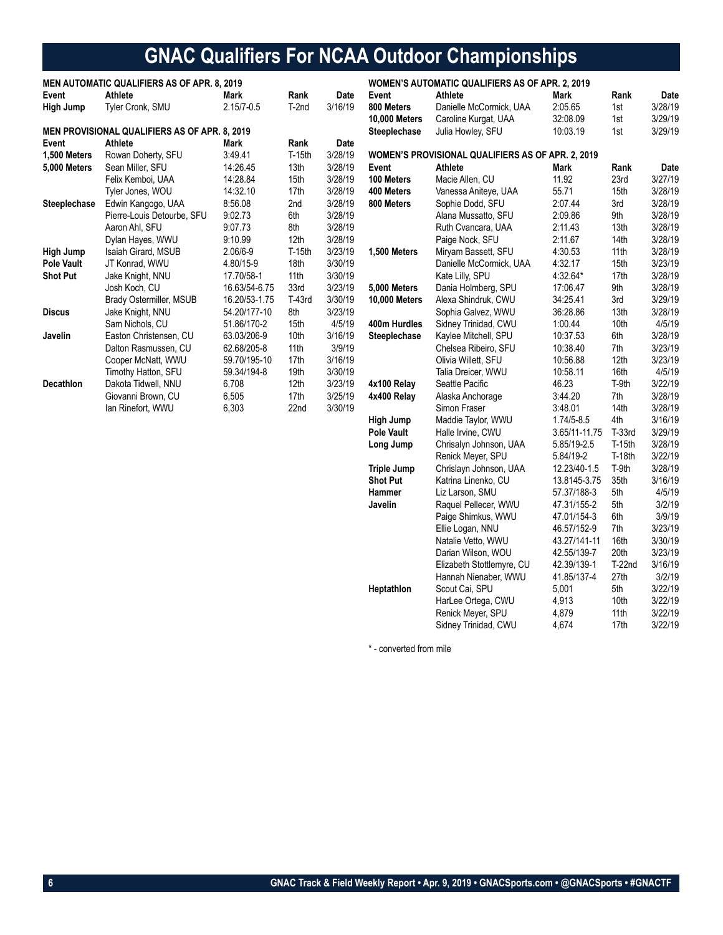# **GNAC Qualifiers For NCAA Outdoor Championships**

|                   | <b>MEN AUTOMATIC QUALIFIERS AS OF APR. 8, 2019</b>   |                |          |         |                      | <b>WOMEN'S AUTOMATIC QUALIFIERS AS OF APR. 2, 2019</b> |                |                  |         |
|-------------------|------------------------------------------------------|----------------|----------|---------|----------------------|--------------------------------------------------------|----------------|------------------|---------|
| Event             | Athlete                                              | Mark           | Rank     | Date    | Event                | Athlete                                                | Mark           | Rank             | Date    |
| High Jump         | Tyler Cronk, SMU                                     | $2.15/7 - 0.5$ | T-2nd    | 3/16/19 | 800 Meters           | Danielle McCormick, UAA                                | 2:05.65        | 1st              | 3/28/19 |
|                   |                                                      |                |          |         | <b>10,000 Meters</b> | Caroline Kurgat, UAA                                   | 32:08.09       | 1st              | 3/29/19 |
|                   | <b>MEN PROVISIONAL QUALIFIERS AS OF APR. 8, 2019</b> |                |          |         | Steeplechase         | Julia Howley, SFU                                      | 10:03.19       | 1st              | 3/29/19 |
| Event             | Athlete                                              | Mark           | Rank     | Date    |                      |                                                        |                |                  |         |
| 1,500 Meters      | Rowan Doherty, SFU                                   | 3:49.41        | $T-15th$ | 3/28/19 |                      | WOMEN'S PROVISIONAL QUALIFIERS AS OF APR. 2, 2019      |                |                  |         |
| 5,000 Meters      | Sean Miller, SFU                                     | 14:26.45       | 13th     | 3/28/19 | Event                | Athlete                                                | Mark           | Rank             | Date    |
|                   | Felix Kemboi, UAA                                    | 14:28.84       | 15th     | 3/28/19 | 100 Meters           | Macie Allen, CU                                        | 11.92          | 23rd             | 3/27/19 |
|                   | Tyler Jones, WOU                                     | 14:32.10       | 17th     | 3/28/19 | 400 Meters           | Vanessa Aniteye, UAA                                   | 55.71          | 15th             | 3/28/19 |
| Steeplechase      | Edwin Kangogo, UAA                                   | 8:56.08        | 2nd      | 3/28/19 | 800 Meters           | Sophie Dodd, SFU                                       | 2:07.44        | 3rd              | 3/28/19 |
|                   | Pierre-Louis Detourbe, SFU                           | 9:02.73        | 6th      | 3/28/19 |                      | Alana Mussatto, SFU                                    | 2:09.86        | 9th              | 3/28/19 |
|                   | Aaron Ahl, SFU                                       | 9:07.73        | 8th      | 3/28/19 |                      | Ruth Cvancara, UAA                                     | 2:11.43        | 13th             | 3/28/19 |
|                   | Dylan Hayes, WWU                                     | 9:10.99        | 12th     | 3/28/19 |                      | Paige Nock, SFU                                        | 2:11.67        | 14th             | 3/28/19 |
| <b>High Jump</b>  | Isaiah Girard, MSUB                                  | 2.06/6-9       | $T-15th$ | 3/23/19 | 1,500 Meters         | Miryam Bassett, SFU                                    | 4:30.53        | 11th             | 3/28/19 |
| <b>Pole Vault</b> | JT Konrad, WWU                                       | 4.80/15-9      | 18th     | 3/30/19 |                      | Danielle McCormick, UAA                                | 4:32.17        | 15th             | 3/23/19 |
| <b>Shot Put</b>   | Jake Knight, NNU                                     | 17.70/58-1     | 11th     | 3/30/19 |                      | Kate Lilly, SPU                                        | 4:32.64*       | 17th             | 3/28/19 |
|                   | Josh Koch, CU                                        | 16.63/54-6.75  | 33rd     | 3/23/19 | <b>5,000 Meters</b>  | Dania Holmberg, SPU                                    | 17:06.47       | 9th              | 3/28/19 |
|                   | Brady Ostermiller, MSUB                              | 16.20/53-1.75  | T-43rd   | 3/30/19 | <b>10,000 Meters</b> | Alexa Shindruk, CWU                                    | 34:25.41       | 3rd              | 3/29/19 |
| <b>Discus</b>     | Jake Knight, NNU                                     | 54.20/177-10   | 8th      | 3/23/19 |                      | Sophia Galvez, WWU                                     | 36:28.86       | 13th             | 3/28/19 |
|                   | Sam Nichols, CU                                      | 51.86/170-2    | 15th     | 4/5/19  | 400m Hurdles         | Sidney Trinidad, CWU                                   | 1:00.44        | 10th             | 4/5/19  |
| Javelin           | Easton Christensen, CU                               | 63.03/206-9    | 10th     | 3/16/19 | Steeplechase         | Kaylee Mitchell, SPU                                   | 10:37.53       | 6th              | 3/28/19 |
|                   | Dalton Rasmussen, CU                                 | 62.68/205-8    | 11th     | 3/9/19  |                      | Chelsea Ribeiro, SFU                                   | 10:38.40       | 7th              | 3/23/19 |
|                   | Cooper McNatt, WWU                                   | 59.70/195-10   | 17th     | 3/16/19 |                      | Olivia Willett, SFU                                    | 10:56.88       | 12 <sub>th</sub> | 3/23/19 |
|                   | Timothy Hatton, SFU                                  | 59.34/194-8    | 19th     | 3/30/19 |                      | Talia Dreicer, WWU                                     | 10:58.11       | 16th             | 4/5/19  |
| Decathlon         | Dakota Tidwell, NNU                                  | 6,708          | 12th     | 3/23/19 | 4x100 Relay          | Seattle Pacific                                        | 46.23          | T-9th            | 3/22/19 |
|                   | Giovanni Brown, CU                                   | 6,505          | 17th     | 3/25/19 | 4x400 Relay          | Alaska Anchorage                                       | 3:44.20        | 7th              | 3/28/19 |
|                   | Ian Rinefort, WWU                                    | 6,303          | 22nd     | 3/30/19 |                      | Simon Fraser                                           | 3:48.01        | 14th             | 3/28/19 |
|                   |                                                      |                |          |         | High Jump            | Maddie Taylor, WWU                                     | $1.74/5 - 8.5$ | 4th              | 3/16/19 |
|                   |                                                      |                |          |         | <b>Pole Vault</b>    | Halle Irvine, CWU                                      | 3.65/11-11.75  | T-33rd           | 3/29/19 |
|                   |                                                      |                |          |         | Long Jump            | Chrisalyn Johnson, UAA                                 | 5.85/19-2.5    | T-15th           | 3/28/19 |
|                   |                                                      |                |          |         |                      | Renick Meyer, SPU                                      | 5.84/19-2      | <b>T-18th</b>    | 3/22/19 |
|                   |                                                      |                |          |         | <b>Triple Jump</b>   | Chrislayn Johnson, UAA                                 | 12.23/40-1.5   | T-9th            | 3/28/19 |
|                   |                                                      |                |          |         | <b>Shot Put</b>      | Katrina Linenko, CU                                    | 13.8145-3.75   | 35th             | 3/16/19 |
|                   |                                                      |                |          |         | Hammer               | Liz Larson, SMU                                        | 57.37/188-3    | 5th              | 4/5/19  |
|                   |                                                      |                |          |         | Javelin              | Raquel Pellecer, WWU                                   | 47.31/155-2    | 5th              | 3/2/19  |
|                   |                                                      |                |          |         |                      | Paige Shimkus, WWU                                     | 47.01/154-3    | 6th              | 3/9/19  |
|                   |                                                      |                |          |         |                      | Ellie Logan, NNU                                       | 46.57/152-9    | 7th              | 3/23/19 |
|                   |                                                      |                |          |         |                      | Natalie Vetto, WWU                                     | 43.27/141-11   | 16th             | 3/30/19 |
|                   |                                                      |                |          |         |                      | Darian Wilson, WOU                                     | 42.55/139-7    | 20th             | 3/23/19 |
|                   |                                                      |                |          |         |                      | Elizabeth Stottlemyre, CU                              | 42.39/139-1    | $T-22nd$         | 3/16/19 |
|                   |                                                      |                |          |         |                      | Hannah Nienaber, WWU                                   | 41.85/137-4    | 27th             | 3/2/19  |
|                   |                                                      |                |          |         | Heptathlon           | Scout Cai, SPU                                         | 5,001          | 5th              | 3/22/19 |
|                   |                                                      |                |          |         |                      | HarLee Ortega, CWU                                     | 4,913          | 10th             | 3/22/19 |

\* - converted from mile

Renick Meyer, SPU 4,879 11th 3/22/19 Sidney Trinidad, CWU 4,674 17th 3/22/19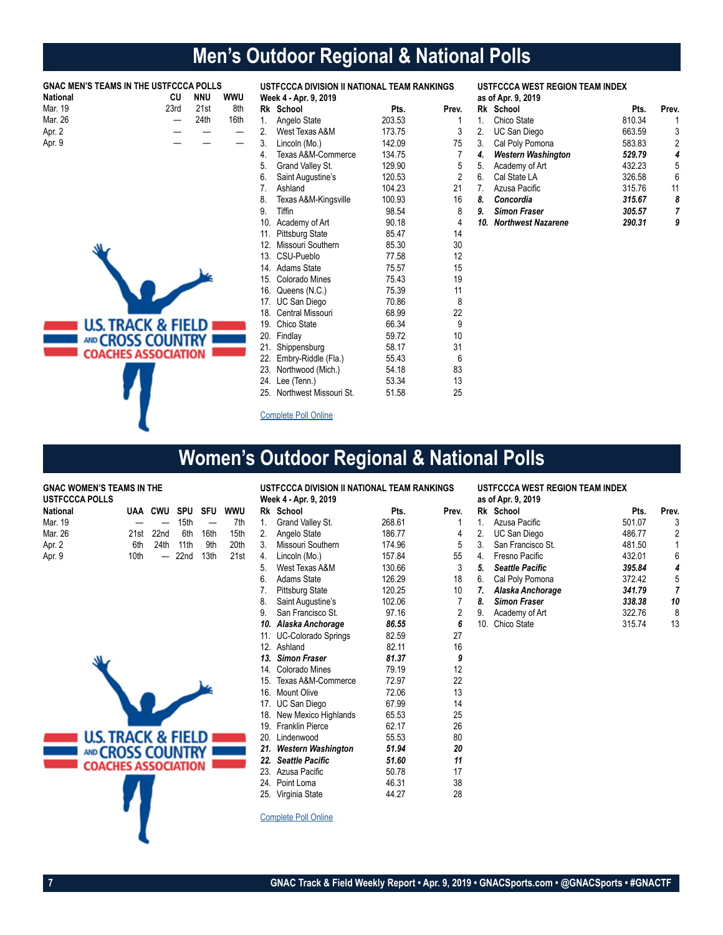# **Men's Outdoor Regional & National Polls**

| <b>National</b> | <b>GNAC MEN'S TEAMS IN THE USTFCCCA POLLS</b><br>CU | <b>NNU</b> | <b>WWU</b> |     | USTFCCCA DIVISION II NATIONAL TEAM RANKINGS<br>Week 4 - Apr. 9, 2019 |        |                |    | <b>USTFCCCA WEST REGION TEAM INDEX</b><br>as of Apr. 9, 2019 |        |                         |
|-----------------|-----------------------------------------------------|------------|------------|-----|----------------------------------------------------------------------|--------|----------------|----|--------------------------------------------------------------|--------|-------------------------|
| Mar. 19         | 23rd                                                | 21st       | 8th        |     | Rk School                                                            | Pts.   | Prev.          |    | Rk School                                                    | Pts.   | Prev.                   |
| Mar. 26         |                                                     | 24th       | 16th       | 1.  | Angelo State                                                         | 203.53 | 1              | 1. | Chico State                                                  | 810.34 |                         |
| Apr. 2          |                                                     |            |            | 2.  | West Texas A&M                                                       | 173.75 | 3              | 2. | UC San Diego                                                 | 663.59 | 3                       |
| Apr. 9          |                                                     |            |            | 3.  | Lincoln (Mo.)                                                        | 142.09 | 75             | 3. | Cal Poly Pomona                                              | 583.83 | $\overline{\mathbf{c}}$ |
|                 |                                                     |            |            | 4.  | Texas A&M-Commerce                                                   | 134.75 | 7              | 4. | <b>Western Washington</b>                                    | 529.79 | 4                       |
|                 |                                                     |            |            | 5.  | Grand Valley St.                                                     | 129.90 | 5              | 5. | Academy of Art                                               | 432.23 | 5                       |
|                 |                                                     |            |            | 6.  | Saint Augustine's                                                    | 120.53 | $\overline{2}$ | 6. | Cal State LA                                                 | 326.58 | 6                       |
|                 |                                                     |            |            | 7.  | Ashland                                                              | 104.23 | 21             | 7. | Azusa Pacific                                                | 315.76 | 11                      |
|                 |                                                     |            |            | 8.  | Texas A&M-Kingsville                                                 | 100.93 | 16             | 8. | Concordia                                                    | 315.67 | 8                       |
|                 |                                                     |            |            | 9.  | Tiffin                                                               | 98.54  | 8              | 9. | <b>Simon Fraser</b>                                          | 305.57 | 7                       |
|                 |                                                     |            |            | 10. | Academy of Art                                                       | 90.18  | 4              |    | 10. Northwest Nazarene                                       | 290.31 | g                       |
|                 |                                                     |            |            | 11. | <b>Pittsburg State</b>                                               | 85.47  | 14             |    |                                                              |        |                         |
|                 |                                                     |            |            | 12. | Missouri Southern                                                    | 85.30  | 30             |    |                                                              |        |                         |
|                 |                                                     |            |            | 13. | CSU-Pueblo                                                           | 77.58  | 12             |    |                                                              |        |                         |
|                 |                                                     |            |            | 14. | Adams State                                                          | 75.57  | 15             |    |                                                              |        |                         |
|                 |                                                     |            |            | 15. | Colorado Mines                                                       | 75.43  | 19             |    |                                                              |        |                         |
|                 |                                                     |            |            | 16. | Queens (N.C.)                                                        | 75.39  | 11             |    |                                                              |        |                         |
|                 |                                                     |            |            | 17. | UC San Diego                                                         | 70.86  | 8              |    |                                                              |        |                         |
|                 |                                                     |            |            | 18. | Central Missouri                                                     | 68.99  | 22             |    |                                                              |        |                         |
|                 | <b>U.S. TRACK &amp; FIELD</b>                       |            |            | 19. | Chico State                                                          | 66.34  | 9              |    |                                                              |        |                         |
|                 | AND CROSS COUNTRY                                   |            |            | 20. | Findlay                                                              | 59.72  | 10             |    |                                                              |        |                         |
|                 |                                                     |            |            | 21. | Shippensburg                                                         | 58.17  | 31             |    |                                                              |        |                         |
|                 | <b>COACHES ASSOCIATION</b>                          |            |            | 22. | Embry-Riddle (Fla.)                                                  | 55.43  | 6              |    |                                                              |        |                         |
|                 |                                                     |            |            | 23. | Northwood (Mich.)                                                    | 54.18  | 83             |    |                                                              |        |                         |
|                 |                                                     |            |            | 24. | Lee (Tenn.)                                                          | 53.34  | 13             |    |                                                              |        |                         |
|                 |                                                     |            |            | 25. | Northwest Missouri St.                                               | 51.58  | 25             |    |                                                              |        |                         |
|                 |                                                     |            |            |     | <b>Complete Poll Online</b>                                          |        |                |    |                                                              |        |                         |

# **Women's Outdoor Regional & National Polls**

**GNAC WOMEN'S TEAMS IN THE** 

| USTFCCCA POLLS  |     |               |                         |  |
|-----------------|-----|---------------|-------------------------|--|
| <b>National</b> |     |               | UAA CWU SPU SFU WWU     |  |
| Mar. 19         |     |               | $ -$ 15th $-$ 7th       |  |
| Mar. 26         |     |               | 21st 22nd 6th 16th 15th |  |
| Apr. 2          | 6th | 24th 11th 9th | 20th                    |  |
| Apr. 9          |     |               | 10th $-$ 22nd 13th 21st |  |



|     | USTFCCCA DIVISION II NATIONAL TEAM RANKINGS |        |       |    | USTFCCCA WEST REGION TEAM INDEX |        |       |  |
|-----|---------------------------------------------|--------|-------|----|---------------------------------|--------|-------|--|
|     | Week 4 - Apr. 9, 2019                       |        |       |    | as of Apr. 9, 2019              |        |       |  |
|     | Rk School                                   | Pts.   | Prev. |    | Rk School                       | Pts.   | Prev. |  |
| 1.  | Grand Valley St.                            | 268.61 | 1     | 1. | Azusa Pacific                   | 501.07 | 3     |  |
| 2.  | Angelo State                                | 186.77 | 4     | 2. | UC San Diego                    | 486.77 | 2     |  |
| 3.  | Missouri Southern                           | 174.96 | 5     | 3. | San Francisco St.               | 481.50 | 1     |  |
| 4.  | Lincoln (Mo.)                               | 157.84 | 55    | 4. | Fresno Pacific                  | 432.01 | 6     |  |
| 5.  | West Texas A&M                              | 130.66 | 3     | 5. | <b>Seattle Pacific</b>          | 395.84 | 4     |  |
| 6.  | <b>Adams State</b>                          | 126.29 | 18    | 6. | Cal Poly Pomona                 | 372.42 | 5     |  |
| 7.  | <b>Pittsburg State</b>                      | 120.25 | 10    | 7. | Alaska Anchorage                | 341.79 | 7     |  |
| 8.  | Saint Augustine's                           | 102.06 | 7     | 8. | <b>Simon Fraser</b>             | 338.38 | 10    |  |
| 9.  | San Francisco St.                           | 97.16  | 2     | 9. | Academy of Art                  | 322.76 | 8     |  |
|     | 10. Alaska Anchorage                        | 86.55  | 6     |    | 10. Chico State                 | 315.74 | 13    |  |
| 11. | <b>UC-Colorado Springs</b>                  | 82.59  | 27    |    |                                 |        |       |  |
|     | 12. Ashland                                 | 82.11  | 16    |    |                                 |        |       |  |
| 13. | <b>Simon Fraser</b>                         | 81.37  | 9     |    |                                 |        |       |  |
| 14. | Colorado Mines                              | 79.19  | 12    |    |                                 |        |       |  |
| 15. | Texas A&M-Commerce                          | 72.97  | 22    |    |                                 |        |       |  |
| 16. | <b>Mount Olive</b>                          | 72.06  | 13    |    |                                 |        |       |  |
|     | 17. UC San Diego                            | 67.99  | 14    |    |                                 |        |       |  |
| 18. | New Mexico Highlands                        | 65.53  | 25    |    |                                 |        |       |  |
|     | 19. Franklin Pierce                         | 62.17  | 26    |    |                                 |        |       |  |
|     | 20. Lindenwood                              | 55.53  | 80    |    |                                 |        |       |  |
|     | 21. Western Washington                      | 51.94  | 20    |    |                                 |        |       |  |
|     | 22. Seattle Pacific                         | 51.60  | 11    |    |                                 |        |       |  |
|     | 23. Azusa Pacific                           | 50.78  | 17    |    |                                 |        |       |  |
|     | 24. Point Loma                              | 46.31  | 38    |    |                                 |        |       |  |
|     | 25. Virginia State                          | 44.27  | 28    |    |                                 |        |       |  |

**USTFCCCA WEST REGION TEAM INDEX**

Complete Poll Online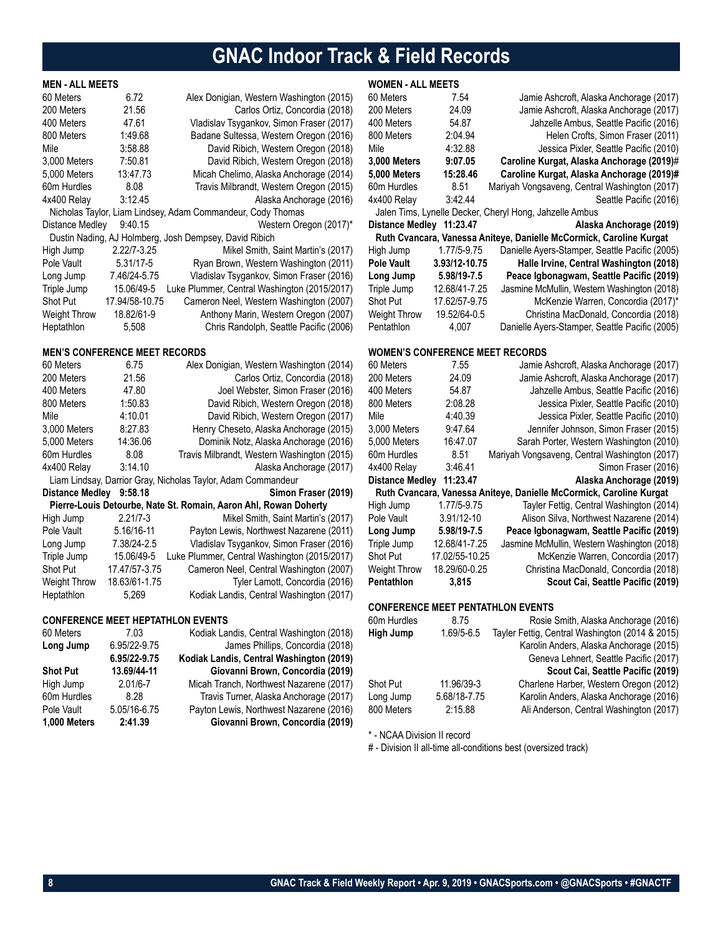# **GNAC Indoor Track & Field Records**

### **MEN - ALL MEETS**

| 60 Meters<br>200 Meters | 6.72<br>21.56  | Alex Donigian, Western Washington (2015)<br>Carlos Ortiz, Concordia (2018) |
|-------------------------|----------------|----------------------------------------------------------------------------|
| 400 Meters              | 47.61          | Vladislav Tsygankov, Simon Fraser (2017)                                   |
| 800 Meters              | 1:49.68        | Badane Sultessa, Western Oregon (2016)                                     |
| Mile                    | 3:58.88        | David Ribich, Western Oregon (2018)                                        |
| 3,000 Meters            | 7:50.81        | David Ribich, Western Oregon (2018)                                        |
| 5,000 Meters            | 13:47.73       | Micah Chelimo, Alaska Anchorage (2014)                                     |
| 60m Hurdles             | 8.08           | Travis Milbrandt, Western Oregon (2015)                                    |
| 4x400 Relay             | 3:12.45        | Alaska Anchorage (2016)                                                    |
|                         |                | Nicholas Taylor, Liam Lindsey, Adam Commandeur, Cody Thomas                |
| Distance Medley         | 9:40.15        | Western Oregon (2017)*                                                     |
|                         |                | Dustin Nading, AJ Holmberg, Josh Dempsey, David Ribich                     |
| High Jump               | 2.22/7-3.25    | Mikel Smith, Saint Martin's (2017)                                         |
| Pole Vault              | 5.31/17-5      | Ryan Brown, Western Washington (2011)                                      |
| Long Jump               | 7.46/24-5.75   | Vladislav Tsygankov, Simon Fraser (2016)                                   |
| Triple Jump             | 15.06/49-5     | Luke Plummer, Central Washington (2015/2017)                               |
| <b>Shot Put</b>         | 17.94/58-10.75 | Cameron Neel, Western Washington (2007)                                    |
| <b>Weight Throw</b>     | 18.82/61-9     | Anthony Marin, Western Oregon (2007)                                       |
| Heptathlon              | 5,508          | Chris Randolph, Seattle Pacific (2006)                                     |

### **MEN'S CONFERENCE MEET RECORDS**

| 60 Meters              | 6.75          | Alex Donigian, Western Washington (2014)                         |
|------------------------|---------------|------------------------------------------------------------------|
| 200 Meters             | 21.56         | Carlos Ortiz, Concordia (2018)                                   |
| 400 Meters             | 47.80         | Joel Webster, Simon Fraser (2016)                                |
| 800 Meters             | 1:50.83       | David Ribich, Western Oregon (2018)                              |
| Mile                   | 4:10.01       | David Ribich, Western Oregon (2017)                              |
| 3,000 Meters           | 8:27.83       | Henry Cheseto, Alaska Anchorage (2015)                           |
| 5,000 Meters           | 14:36.06      | Dominik Notz, Alaska Anchorage (2016)                            |
| 60m Hurdles            | 8.08          | Travis Milbrandt, Western Washington (2015)                      |
| 4x400 Relay            | 3:14.10       | Alaska Anchorage (2017)                                          |
|                        |               | Liam Lindsay, Darrior Gray, Nicholas Taylor, Adam Commandeur     |
| <b>Distance Medley</b> | 9:58.18       | Simon Fraser (2019)                                              |
|                        |               | Pierre-Louis Detourbe, Nate St. Romain, Aaron Ahl, Rowan Doherty |
| High Jump              | $2.21/7 - 3$  | Mikel Smith, Saint Martin's (2017)                               |
| Pole Vault             | 5.16/16-11    | Payton Lewis, Northwest Nazarene (2011)                          |
| Long Jump              | 7.38/24-2.5   | Vladislav Tsygankov, Simon Fraser (2016)                         |
|                        |               |                                                                  |
| Triple Jump            | 15.06/49-5    | Luke Plummer, Central Washington (2015/2017)                     |
| <b>Shot Put</b>        | 17.47/57-3.75 | Cameron Neel, Central Washington (2007)                          |
| <b>Weight Throw</b>    | 18.63/61-1.75 | Tyler Lamott, Concordia (2016)                                   |

### **CONFERENCE MEET HEPTATHLON EVENTS**

| 60 Meters       | 7.03         | Kodiak Landis, Central Washington (2018) |
|-----------------|--------------|------------------------------------------|
| Long Jump       | 6.95/22-9.75 | James Phillips, Concordia (2018)         |
|                 | 6.95/22-9.75 | Kodiak Landis, Central Washington (2019) |
| <b>Shot Put</b> | 13.69/44-11  | Giovanni Brown, Concordia (2019)         |
| High Jump       | $2.01/6 - 7$ | Micah Tranch, Northwest Nazarene (2017)  |
| 60m Hurdles     | 8.28         | Travis Turner, Alaska Anchorage (2017)   |
| Pole Vault      | 5.05/16-6.75 | Payton Lewis, Northwest Nazarene (2016)  |
| 1,000 Meters    | 2:41.39      | Giovanni Brown, Concordia (2019)         |

### **WOMEN - ALL MEETS**

| 60 Meters                              | 7.54             | Jamie Ashcroft, Alaska Anchorage (2017)                                          |
|----------------------------------------|------------------|----------------------------------------------------------------------------------|
| 200 Meters                             | 24.09            | Jamie Ashcroft, Alaska Anchorage (2017)                                          |
| 400 Meters                             | 54.87            | Jahzelle Ambus, Seattle Pacific (2016)                                           |
| 800 Meters                             | 2:04.94          | Helen Crofts, Simon Fraser (2011)                                                |
| Mile                                   | 4:32.88          | Jessica Pixler, Seattle Pacific (2010)                                           |
| 3,000 Meters                           | 9:07.05          | Caroline Kurgat, Alaska Anchorage (2019)#                                        |
| 5,000 Meters                           | 15:28.46         | Caroline Kurgat, Alaska Anchorage (2019)#                                        |
| 60m Hurdles                            | 8.51             | Mariyah Vongsaveng, Central Washington (2017)                                    |
| 4x400 Relay                            | 3:42.44          | Seattle Pacific (2016)                                                           |
|                                        |                  | Jalen Tims, Lynelle Decker, Cheryl Hong, Jahzelle Ambus                          |
| Distance Medley 11:23.47               |                  | Alaska Anchorage (2019)                                                          |
|                                        |                  | Ruth Cvancara, Vanessa Aniteye, Danielle McCormick, Caroline Kurgat              |
| High Jump                              | 1.77/5-9.75      | Danielle Ayers-Stamper, Seattle Pacific (2005)                                   |
| <b>Pole Vault</b>                      | 3.93/12-10.75    | Halle Irvine, Central Washington (2018)                                          |
| Long Jump                              | 5.98/19-7.5      | Peace Igbonagwam, Seattle Pacific (2019)                                         |
| Triple Jump                            | 12.68/41-7.25    | Jasmine McMullin, Western Washington (2018)                                      |
| Shot Put                               | 17.62/57-9.75    | McKenzie Warren, Concordia (2017)*                                               |
| Weight Throw                           | 19.52/64-0.5     | Christina MacDonald, Concordia (2018)                                            |
| Pentathlon                             | 4,007            | Danielle Ayers-Stamper, Seattle Pacific (2005)                                   |
|                                        |                  |                                                                                  |
| <b>WOMEN'S CONFERENCE MEET RECORDS</b> |                  |                                                                                  |
| 60 Meters<br>200 Meters                | 7.55             | Jamie Ashcroft, Alaska Anchorage (2017)                                          |
|                                        | 24.09            | Jamie Ashcroft, Alaska Anchorage (2017)                                          |
| 400 Meters<br>800 Meters               | 54.87<br>2:08.28 | Jahzelle Ambus, Seattle Pacific (2016)                                           |
| Mile                                   | 4:40.39          | Jessica Pixler, Seattle Pacific (2010)<br>Jessica Pixler, Seattle Pacific (2010) |
| 3,000 Meters                           | 9:47.64          | Jennifer Johnson, Simon Fraser (2015)                                            |
| 5,000 Meters                           | 16:47.07         | Sarah Porter, Western Washington (2010)                                          |
| 60m Hurdles                            | 8.51             | Mariyah Vongsaveng, Central Washington (2017)                                    |
| 4x400 Relay                            | 3:46.41          | Simon Fraser (2016)                                                              |
| Distance Medley 11:23.47               |                  | Alaska Anchorage (2019)                                                          |
|                                        |                  | Ruth Cvancara, Vanessa Aniteye, Danielle McCormick, Caroline Kurgat              |
| High Jump                              | 1.77/5-9.75      | Tayler Fettig, Central Washington (2014)                                         |
| Pole Vault                             | 3.91/12-10       | Alison Silva, Northwest Nazarene (2014)                                          |
| Long Jump                              | 5.98/19-7.5      | Peace Igbonagwam, Seattle Pacific (2019)                                         |
| Triple Jump                            | 12.68/41-7.25    | Jasmine McMullin, Western Washington (2018)                                      |
| Shot Put                               | 17.02/55-10.25   | McKenzie Warren, Concordia (2017)                                                |
| Weight Throw                           | 18.29/60-0.25    | Christina MacDonald, Concordia (2018)                                            |
| Pentathlon                             | 3,815            | Scout Cai, Seattle Pacific (2019)                                                |
|                                        |                  |                                                                                  |
|                                        |                  | <b>CONFERENCE MEET PENTATHLON EVENTS</b>                                         |
| 60m Hurdles 8.75                       |                  | Rosie Smith, Alaska Anchorage (2016)                                             |
| <b>High Jump</b>                       | 1.69/5-6.5       | Tayler Fettig, Central Washington (2014 & 2015)                                  |
|                                        |                  | Karolin Anders, Alaska Anchorage (2015)                                          |
|                                        |                  | Geneva Lehnert, Seattle Pacific (2017)                                           |
|                                        |                  | Scout Cai, Seattle Pacific (2019)                                                |
| Shot Put                               | 11.96/39-3       | Charlene Harber, Western Oregon (2012)                                           |
| Long Jump                              | 5.68/18-7.75     | Karolin Anders, Alaska Anchorage (2016)                                          |
| 800 Meters                             | 2:15.88          | Ali Anderson, Central Washington (2017)                                          |
|                                        |                  |                                                                                  |

\* - NCAA Division II record

# - Division II all-time all-conditions best (oversized track)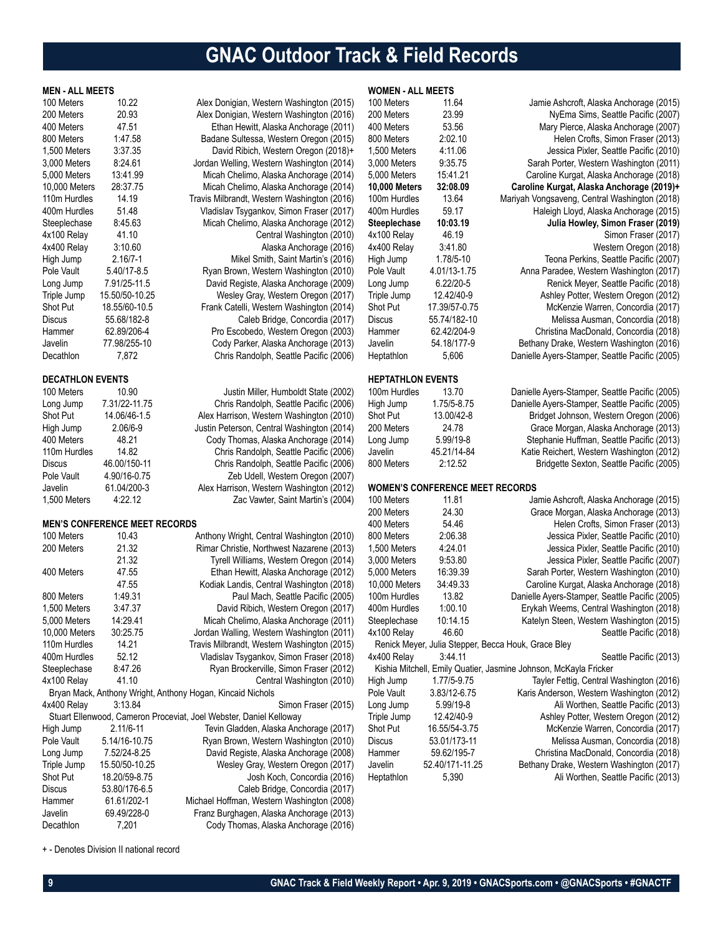# **GNAC Outdoor Track & Field Records**

| <b>MEN - ALL MEETS</b>        |                                      |                                                                                          | <b>WOMEN - ALL MEETS</b>    |                                        |                                                                    |
|-------------------------------|--------------------------------------|------------------------------------------------------------------------------------------|-----------------------------|----------------------------------------|--------------------------------------------------------------------|
| 100 Meters                    | 10.22                                | Alex Donigian, Western Washington (2015)                                                 | 100 Meters                  | 11.64                                  | Jamie Ashcroft, Alaska Anchorage (2015)                            |
| 200 Meters                    | 20.93                                | Alex Donigian, Western Washington (2016)                                                 | 200 Meters                  | 23.99                                  | NyEma Sims, Seattle Pacific (2007)                                 |
| 400 Meters                    | 47.51                                | Ethan Hewitt, Alaska Anchorage (2011)                                                    | 400 Meters                  | 53.56                                  | Mary Pierce, Alaska Anchorage (2007)                               |
| 800 Meters                    | 1:47.58                              | Badane Sultessa, Western Oregon (2015)                                                   | 800 Meters                  | 2:02.10                                | Helen Crofts, Simon Fraser (2013)                                  |
| 1.500 Meters                  | 3:37.35                              | David Ribich, Western Oregon (2018)+                                                     | 1,500 Meters                | 4:11.06                                | Jessica Pixler, Seattle Pacific (2010)                             |
| 3,000 Meters                  | 8:24.61                              | Jordan Welling, Western Washington (2014)                                                | 3,000 Meters                | 9:35.75                                | Sarah Porter, Western Washington (2011)                            |
| 5,000 Meters                  | 13:41.99                             | Micah Chelimo, Alaska Anchorage (2014)                                                   | 5,000 Meters                | 15:41.21                               | Caroline Kurgat, Alaska Anchorage (2018)                           |
| 10,000 Meters                 | 28:37.75                             | Micah Chelimo, Alaska Anchorage (2014)                                                   | <b>10,000 Meters</b>        | 32:08.09                               | Caroline Kurgat, Alaska Anchorage (2019)+                          |
| 110m Hurdles                  | 14.19                                | Travis Milbrandt, Western Washington (2016)                                              | 100m Hurdles                | 13.64                                  | Mariyah Vongsaveng, Central Washington (2018)                      |
| 400m Hurdles                  | 51.48                                | Vladislav Tsygankov, Simon Fraser (2017)                                                 | 400m Hurdles                | 59.17                                  | Haleigh Lloyd, Alaska Anchorage (2015)                             |
| Steeplechase                  | 8:45.63                              | Micah Chelimo, Alaska Anchorage (2012)                                                   | Steeplechase                | 10:03.19                               | Julia Howley, Simon Fraser (2019)                                  |
| 4x100 Relay                   | 41.10                                | Central Washington (2010)                                                                | 4x100 Relay                 | 46.19                                  | Simon Fraser (2017)                                                |
| 4x400 Relay                   | 3:10.60                              | Alaska Anchorage (2016)                                                                  | 4x400 Relay                 | 3:41.80                                | Western Oregon (2018)                                              |
| High Jump                     | $2.16/7 - 1$                         | Mikel Smith, Saint Martin's (2016)                                                       | High Jump                   | 1.78/5-10                              | Teona Perkins, Seattle Pacific (2007)                              |
| Pole Vault                    | 5.40/17-8.5                          | Ryan Brown, Western Washington (2010)                                                    | Pole Vault                  | 4.01/13-1.75                           | Anna Paradee, Western Washington (2017)                            |
| Long Jump                     | 7.91/25-11.5                         | David Registe, Alaska Anchorage (2009)                                                   | Long Jump                   | 6.22/20-5                              | Renick Meyer, Seattle Pacific (2018)                               |
| Triple Jump                   | 15.50/50-10.25                       | Wesley Gray, Western Oregon (2017)                                                       | Triple Jump                 | 12.42/40-9                             | Ashley Potter, Western Oregon (2012)                               |
| Shot Put                      | 18.55/60-10.5                        | Frank Catelli, Western Washington (2014)                                                 | Shot Put                    | 17.39/57-0.75                          | McKenzie Warren, Concordia (2017)                                  |
| <b>Discus</b>                 | 55.68/182-8                          | Caleb Bridge, Concordia (2017)                                                           | <b>Discus</b>               | 55.74/182-10                           | Melissa Ausman, Concordia (2018)                                   |
| Hammer                        | 62.89/206-4                          | Pro Escobedo, Western Oregon (2003)                                                      | Hammer                      | 62.42/204-9                            | Christina MacDonald, Concordia (2018)                              |
| Javelin                       | 77.98/255-10                         | Cody Parker, Alaska Anchorage (2013)                                                     | Javelin                     | 54.18/177-9                            | Bethany Drake, Western Washington (2016)                           |
| <b>Decathlon</b>              | 7,872                                | Chris Randolph, Seattle Pacific (2006)                                                   | Heptathlon                  | 5,606                                  | Danielle Ayers-Stamper, Seattle Pacific (2005)                     |
|                               |                                      |                                                                                          |                             |                                        |                                                                    |
| <b>DECATHLON EVENTS</b>       |                                      |                                                                                          | <b>HEPTATHLON EVENTS</b>    |                                        |                                                                    |
| 100 Meters                    | 10.90                                | Justin Miller, Humboldt State (2002)                                                     | 100m Hurdles                | 13.70                                  | Danielle Ayers-Stamper, Seattle Pacific (2005)                     |
| Long Jump                     | 7.31/22-11.75                        | Chris Randolph, Seattle Pacific (2006)                                                   | High Jump                   | 1.75/5-8.75                            | Danielle Ayers-Stamper, Seattle Pacific (2005)                     |
| Shot Put                      | 14.06/46-1.5                         | Alex Harrison, Western Washington (2010)                                                 | Shot Put                    | 13.00/42-8                             | Bridget Johnson, Western Oregon (2006)                             |
| High Jump                     | 2.06/6-9                             | Justin Peterson, Central Washington (2014)                                               | 200 Meters                  | 24.78                                  | Grace Morgan, Alaska Anchorage (2013)                              |
| 400 Meters                    | 48.21                                | Cody Thomas, Alaska Anchorage (2014)                                                     | Long Jump                   | 5.99/19-8                              | Stephanie Huffman, Seattle Pacific (2013)                          |
| 110m Hurdles                  | 14.82                                | Chris Randolph, Seattle Pacific (2006)                                                   | Javelin                     | 45.21/14-84                            | Katie Reichert, Western Washington (2012)                          |
| Discus                        | 46.00/150-11                         | Chris Randolph, Seattle Pacific (2006)                                                   | 800 Meters                  | 2:12.52                                | Bridgette Sexton, Seattle Pacific (2005)                           |
| Pole Vault                    | 4.90/16-0.75                         | Zeb Udell, Western Oregon (2007)                                                         |                             |                                        |                                                                    |
| Javelin                       | 61.04/200-3                          | Alex Harrison, Western Washington (2012)                                                 |                             | <b>WOMEN'S CONFERENCE MEET RECORDS</b> |                                                                    |
| 1,500 Meters                  | 4:22.12                              | Zac Vawter, Saint Martin's (2004)                                                        | 100 Meters                  | 11.81                                  | Jamie Ashcroft, Alaska Anchorage (2015)                            |
|                               |                                      |                                                                                          | 200 Meters                  | 24.30                                  | Grace Morgan, Alaska Anchorage (2013)                              |
|                               | <b>MEN'S CONFERENCE MEET RECORDS</b> |                                                                                          | 400 Meters                  | 54.46                                  | Helen Crofts, Simon Fraser (2013)                                  |
| 100 Meters                    | 10.43                                | Anthony Wright, Central Washington (2010)                                                | 800 Meters                  | 2:06.38                                | Jessica Pixler, Seattle Pacific (2010)                             |
| 200 Meters                    | 21.32                                | Rimar Christie, Northwest Nazarene (2013)                                                | 1,500 Meters                | 4:24.01                                | Jessica Pixler, Seattle Pacific (2010)                             |
|                               | 21.32                                | Tyrell Williams, Western Oregon (2014)                                                   | 3,000 Meters                | 9:53.80                                | Jessica Pixler, Seattle Pacific (2007)                             |
| 400 Meters                    | 47.55<br>47.55                       | Ethan Hewitt, Alaska Anchorage (2012)                                                    | 5,000 Meters                | 16:39.39                               | Sarah Porter, Western Washington (2010)                            |
| 800 Meters                    | 1:49.31                              | Kodiak Landis, Central Washington (2018)                                                 | 10,000 Meters               | 34:49.33<br>13.82                      | Caroline Kurgat, Alaska Anchorage (2018)                           |
|                               |                                      | Paul Mach, Seattle Pacific (2005)                                                        | 100m Hurdles                |                                        | Danielle Ayers-Stamper, Seattle Pacific (2005)                     |
| 1,500 Meters                  | 3:47.37                              | David Ribich, Western Oregon (2017)<br>Micah Chelimo, Alaska Anchorage (2011)            | 400m Hurdles                | 1:00.10                                | Erykah Weems, Central Washington (2018)                            |
| 5,000 Meters<br>10,000 Meters | 14:29.41<br>30:25.75                 |                                                                                          | Steeplechase<br>4x100 Relay | 10:14.15<br>46.60                      | Katelyn Steen, Western Washington (2015)<br>Seattle Pacific (2018) |
| 110m Hurdles                  | 14.21                                | Jordan Walling, Western Washington (2011)<br>Travis Milbrandt, Western Washington (2015) |                             |                                        | Renick Meyer, Julia Stepper, Becca Houk, Grace Bley                |
| 400m Hurdles                  | 52.12                                | Vladislav Tsygankov, Simon Fraser (2018)                                                 | 4x400 Relay                 | 3:44.11                                | Seattle Pacific (2013)                                             |
| Steeplechase                  | 8:47.26                              | Ryan Brockerville, Simon Fraser (2012)                                                   |                             |                                        | Kishia Mitchell, Emily Quatier, Jasmine Johnson, McKayla Fricker   |
| 4x100 Relay                   | 41.10                                | Central Washington (2010)                                                                | High Jump                   | 1.77/5-9.75                            | Tayler Fettig, Central Washington (2016)                           |
|                               |                                      | Bryan Mack, Anthony Wright, Anthony Hogan, Kincaid Nichols                               | Pole Vault                  | 3.83/12-6.75                           | Karis Anderson, Western Washington (2012)                          |
| 4x400 Relay                   | 3:13.84                              | Simon Fraser (2015)                                                                      | Long Jump                   | 5.99/19-8                              | Ali Worthen, Seattle Pacific (2013)                                |
|                               |                                      | Stuart Ellenwood, Cameron Proceviat, Joel Webster, Daniel Kelloway                       | Triple Jump                 | 12.42/40-9                             | Ashley Potter, Western Oregon (2012)                               |
| High Jump                     | 2.11/6-11                            | Tevin Gladden, Alaska Anchorage (2017)                                                   | Shot Put                    | 16.55/54-3.75                          | McKenzie Warren, Concordia (2017)                                  |
| Pole Vault                    | 5.14/16-10.75                        | Ryan Brown, Western Washington (2010)                                                    | Discus                      | 53.01/173-11                           | Melissa Ausman, Concordia (2018)                                   |
| Long Jump                     | 7.52/24-8.25                         | David Registe, Alaska Anchorage (2008)                                                   | Hammer                      | 59.62/195-7                            | Christina MacDonald, Concordia (2018)                              |
| Triple Jump                   | 15.50/50-10.25                       | Wesley Gray, Western Oregon (2017)                                                       | Javelin                     | 52.40/171-11.25                        | Bethany Drake, Western Washington (2017)                           |
| Shot Put                      | 18.20/59-8.75                        | Josh Koch, Concordia (2016)                                                              | Heptathlon                  | 5,390                                  | Ali Worthen, Seattle Pacific (2013)                                |
| <b>Discus</b>                 | 53.80/176-6.5                        | Caleb Bridge, Concordia (2017)                                                           |                             |                                        |                                                                    |
| Hammer                        | 61.61/202-1                          | Michael Hoffman, Western Washington (2008)                                               |                             |                                        |                                                                    |
| Javelin                       | 69.49/228-0                          | Franz Burghagen, Alaska Anchorage (2013)                                                 |                             |                                        |                                                                    |
| Decathlon                     | 7,201                                | Cody Thomas, Alaska Anchorage (2016)                                                     |                             |                                        |                                                                    |

+ - Denotes Division II national record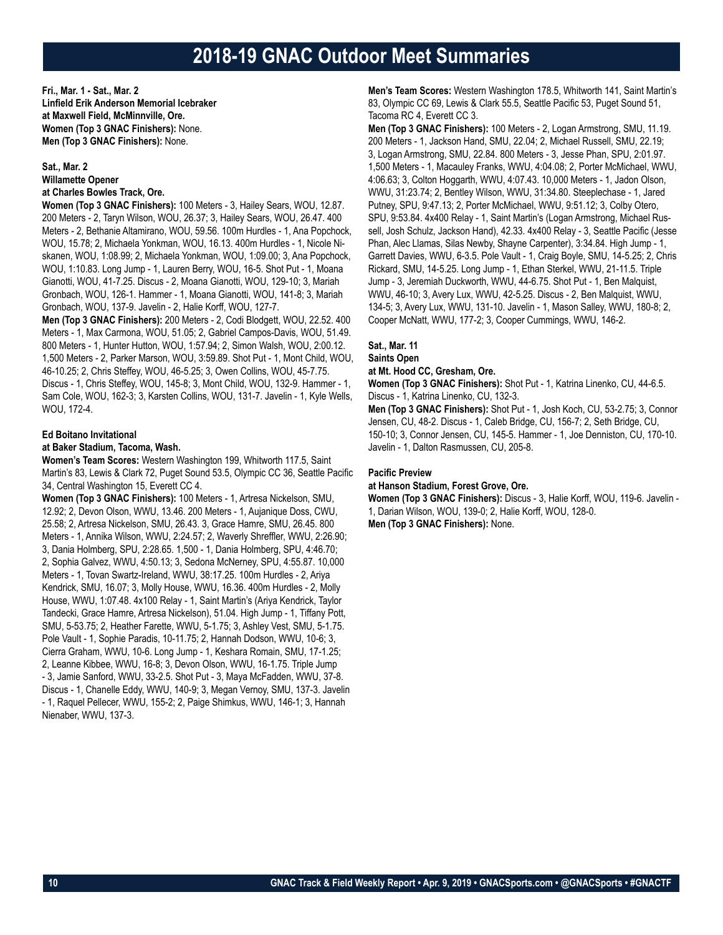### **2018-19 GNAC Outdoor Meet Summaries**

**Fri., Mar. 1 - Sat., Mar. 2 Linfield Erik Anderson Memorial Icebraker at Maxwell Field, McMinnville, Ore. Women (Top 3 GNAC Finishers):** None. **Men (Top 3 GNAC Finishers):** None.

### **Sat., Mar. 2 Willamette Opener at Charles Bowles Track, Ore.**

**Women (Top 3 GNAC Finishers):** 100 Meters - 3, Hailey Sears, WOU, 12.87.

200 Meters - 2, Taryn Wilson, WOU, 26.37; 3, Hailey Sears, WOU, 26.47. 400 Meters - 2, Bethanie Altamirano, WOU, 59.56. 100m Hurdles - 1, Ana Popchock, WOU, 15.78; 2, Michaela Yonkman, WOU, 16.13. 400m Hurdles - 1, Nicole Niskanen, WOU, 1:08.99; 2, Michaela Yonkman, WOU, 1:09.00; 3, Ana Popchock, WOU, 1:10.83. Long Jump - 1, Lauren Berry, WOU, 16-5. Shot Put - 1, Moana Gianotti, WOU, 41-7.25. Discus - 2, Moana Gianotti, WOU, 129-10; 3, Mariah Gronbach, WOU, 126-1. Hammer - 1, Moana Gianotti, WOU, 141-8; 3, Mariah Gronbach, WOU, 137-9. Javelin - 2, Halie Korff, WOU, 127-7.

**Men (Top 3 GNAC Finishers):** 200 Meters - 2, Codi Blodgett, WOU, 22.52. 400 Meters - 1, Max Carmona, WOU, 51.05; 2, Gabriel Campos-Davis, WOU, 51.49. 800 Meters - 1, Hunter Hutton, WOU, 1:57.94; 2, Simon Walsh, WOU, 2:00.12. 1,500 Meters - 2, Parker Marson, WOU, 3:59.89. Shot Put - 1, Mont Child, WOU, 46-10.25; 2, Chris Steffey, WOU, 46-5.25; 3, Owen Collins, WOU, 45-7.75. Discus - 1, Chris Steffey, WOU, 145-8; 3, Mont Child, WOU, 132-9. Hammer - 1, Sam Cole, WOU, 162-3; 3, Karsten Collins, WOU, 131-7. Javelin - 1, Kyle Wells, WOU, 172-4.

### **Ed Boitano Invitational**

### **at Baker Stadium, Tacoma, Wash.**

**Women's Team Scores:** Western Washington 199, Whitworth 117.5, Saint Martin's 83, Lewis & Clark 72, Puget Sound 53.5, Olympic CC 36, Seattle Pacific 34, Central Washington 15, Everett CC 4.

**Women (Top 3 GNAC Finishers):** 100 Meters - 1, Artresa Nickelson, SMU, 12.92; 2, Devon Olson, WWU, 13.46. 200 Meters - 1, Aujanique Doss, CWU, 25.58; 2, Artresa Nickelson, SMU, 26.43. 3, Grace Hamre, SMU, 26.45. 800 Meters - 1, Annika Wilson, WWU, 2:24.57; 2, Waverly Shreffler, WWU, 2:26.90; 3, Dania Holmberg, SPU, 2:28.65. 1,500 - 1, Dania Holmberg, SPU, 4:46.70; 2, Sophia Galvez, WWU, 4:50.13; 3, Sedona McNerney, SPU, 4:55.87. 10,000 Meters - 1, Tovan Swartz-Ireland, WWU, 38:17.25. 100m Hurdles - 2, Ariya Kendrick, SMU, 16.07; 3, Molly House, WWU, 16.36. 400m Hurdles - 2, Molly House, WWU, 1:07.48. 4x100 Relay - 1, Saint Martin's (Ariya Kendrick, Taylor Tandecki, Grace Hamre, Artresa Nickelson), 51.04. High Jump - 1, Tiffany Pott, SMU, 5-53.75; 2, Heather Farette, WWU, 5-1.75; 3, Ashley Vest, SMU, 5-1.75. Pole Vault - 1, Sophie Paradis, 10-11.75; 2, Hannah Dodson, WWU, 10-6; 3, Cierra Graham, WWU, 10-6. Long Jump - 1, Keshara Romain, SMU, 17-1.25; 2, Leanne Kibbee, WWU, 16-8; 3, Devon Olson, WWU, 16-1.75. Triple Jump - 3, Jamie Sanford, WWU, 33-2.5. Shot Put - 3, Maya McFadden, WWU, 37-8. Discus - 1, Chanelle Eddy, WWU, 140-9; 3, Megan Vernoy, SMU, 137-3. Javelin - 1, Raquel Pellecer, WWU, 155-2; 2, Paige Shimkus, WWU, 146-1; 3, Hannah Nienaber, WWU, 137-3.

**Men's Team Scores:** Western Washington 178.5, Whitworth 141, Saint Martin's 83, Olympic CC 69, Lewis & Clark 55.5, Seattle Pacific 53, Puget Sound 51, Tacoma RC 4, Everett CC 3.

**Men (Top 3 GNAC Finishers):** 100 Meters - 2, Logan Armstrong, SMU, 11.19. 200 Meters - 1, Jackson Hand, SMU, 22.04; 2, Michael Russell, SMU, 22.19; 3, Logan Armstrong, SMU, 22.84. 800 Meters - 3, Jesse Phan, SPU, 2:01.97. 1,500 Meters - 1, Macauley Franks, WWU, 4:04.08; 2, Porter McMichael, WWU, 4:06.63; 3, Colton Hoggarth, WWU, 4:07.43. 10,000 Meters - 1, Jadon Olson, WWU, 31:23.74; 2, Bentley Wilson, WWU, 31:34.80. Steeplechase - 1, Jared Putney, SPU, 9:47.13; 2, Porter McMichael, WWU, 9:51.12; 3, Colby Otero, SPU, 9:53.84. 4x400 Relay - 1, Saint Martin's (Logan Armstrong, Michael Russell, Josh Schulz, Jackson Hand), 42.33. 4x400 Relay - 3, Seattle Pacific (Jesse Phan, Alec Llamas, Silas Newby, Shayne Carpenter), 3:34.84. High Jump - 1, Garrett Davies, WWU, 6-3.5. Pole Vault - 1, Craig Boyle, SMU, 14-5.25; 2, Chris Rickard, SMU, 14-5.25. Long Jump - 1, Ethan Sterkel, WWU, 21-11.5. Triple Jump - 3, Jeremiah Duckworth, WWU, 44-6.75. Shot Put - 1, Ben Malquist, WWU, 46-10; 3, Avery Lux, WWU, 42-5.25. Discus - 2, Ben Malquist, WWU, 134-5; 3, Avery Lux, WWU, 131-10. Javelin - 1, Mason Salley, WWU, 180-8; 2, Cooper McNatt, WWU, 177-2; 3, Cooper Cummings, WWU, 146-2.

### **Sat., Mar. 11 Saints Open**

### **at Mt. Hood CC, Gresham, Ore.**

**Women (Top 3 GNAC Finishers):** Shot Put - 1, Katrina Linenko, CU, 44-6.5. Discus - 1, Katrina Linenko, CU, 132-3.

**Men (Top 3 GNAC Finishers):** Shot Put - 1, Josh Koch, CU, 53-2.75; 3, Connor Jensen, CU, 48-2. Discus - 1, Caleb Bridge, CU, 156-7; 2, Seth Bridge, CU, 150-10; 3, Connor Jensen, CU, 145-5. Hammer - 1, Joe Denniston, CU, 170-10. Javelin - 1, Dalton Rasmussen, CU, 205-8.

### **Pacific Preview**

**at Hanson Stadium, Forest Grove, Ore.**

**Women (Top 3 GNAC Finishers):** Discus - 3, Halie Korff, WOU, 119-6. Javelin - 1, Darian Wilson, WOU, 139-0; 2, Halie Korff, WOU, 128-0.

**Men (Top 3 GNAC Finishers):** None.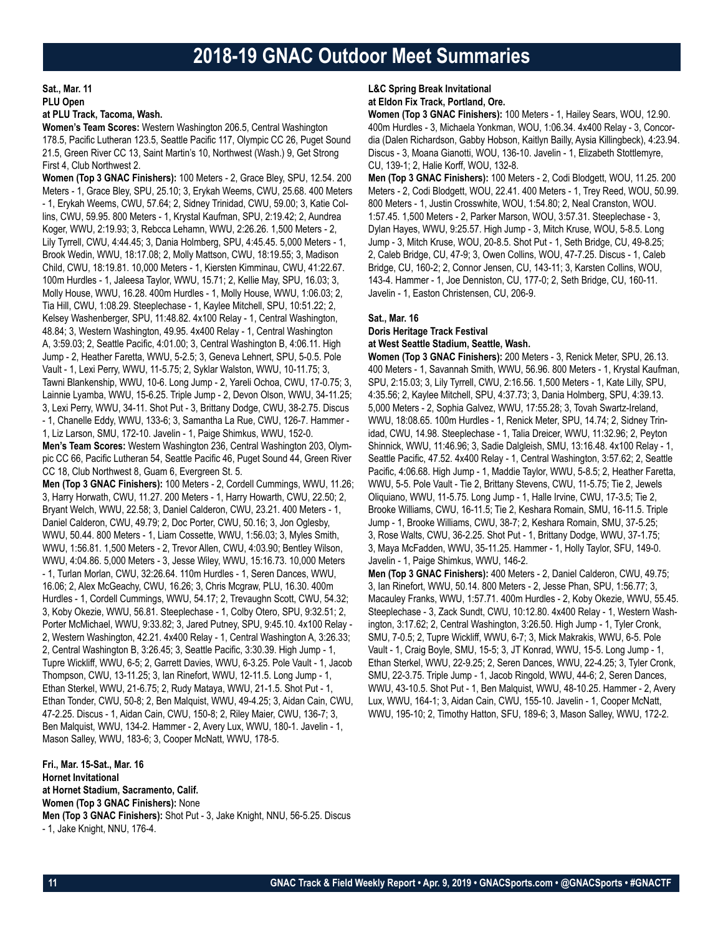**Sat., Mar. 11 PLU Open**

### **at PLU Track, Tacoma, Wash.**

**Women's Team Scores:** Western Washington 206.5, Central Washington 178.5, Pacific Lutheran 123.5, Seattle Pacific 117, Olympic CC 26, Puget Sound 21.5, Green River CC 13, Saint Martin's 10, Northwest (Wash.) 9, Get Strong First 4, Club Northwest 2.

**Women (Top 3 GNAC Finishers):** 100 Meters - 2, Grace Bley, SPU, 12.54. 200 Meters - 1, Grace Bley, SPU, 25.10; 3, Erykah Weems, CWU, 25.68. 400 Meters - 1, Erykah Weems, CWU, 57.64; 2, Sidney Trinidad, CWU, 59.00; 3, Katie Collins, CWU, 59.95. 800 Meters - 1, Krystal Kaufman, SPU, 2:19.42; 2, Aundrea Koger, WWU, 2:19.93; 3, Rebcca Lehamn, WWU, 2:26.26. 1,500 Meters - 2, Lily Tyrrell, CWU, 4:44.45; 3, Dania Holmberg, SPU, 4:45.45. 5,000 Meters - 1, Brook Wedin, WWU, 18:17.08; 2, Molly Mattson, CWU, 18:19.55; 3, Madison Child, CWU, 18:19.81. 10,000 Meters - 1, Kiersten Kimminau, CWU, 41:22.67. 100m Hurdles - 1, Jaleesa Taylor, WWU, 15.71; 2, Kellie May, SPU, 16.03; 3, Molly House, WWU, 16.28. 400m Hurdles - 1, Molly House, WWU, 1:06.03; 2, Tia Hill, CWU, 1:08.29. Steeplechase - 1, Kaylee Mitchell, SPU, 10:51.22; 2, Kelsey Washenberger, SPU, 11:48.82. 4x100 Relay - 1, Central Washington, 48.84; 3, Western Washington, 49.95. 4x400 Relay - 1, Central Washington A, 3:59.03; 2, Seattle Pacific, 4:01.00; 3, Central Washington B, 4:06.11. High Jump - 2, Heather Faretta, WWU, 5-2.5; 3, Geneva Lehnert, SPU, 5-0.5. Pole Vault - 1, Lexi Perry, WWU, 11-5.75; 2, Syklar Walston, WWU, 10-11.75; 3, Tawni Blankenship, WWU, 10-6. Long Jump - 2, Yareli Ochoa, CWU, 17-0.75; 3, Lainnie Lyamba, WWU, 15-6.25. Triple Jump - 2, Devon Olson, WWU, 34-11.25; 3, Lexi Perry, WWU, 34-11. Shot Put - 3, Brittany Dodge, CWU, 38-2.75. Discus - 1, Chanelle Eddy, WWU, 133-6; 3, Samantha La Rue, CWU, 126-7. Hammer - 1, Liz Larson, SMU, 172-10. Javelin - 1, Paige Shimkus, WWU, 152-0. **Men's Team Scores:** Western Washington 236, Central Washington 203, Olympic CC 66, Pacific Lutheran 54, Seattle Pacific 46, Puget Sound 44, Green River CC 18, Club Northwest 8, Guam 6, Evergreen St. 5. **Men (Top 3 GNAC Finishers):** 100 Meters - 2, Cordell Cummings, WWU, 11.26; 3, Harry Horwath, CWU, 11.27. 200 Meters - 1, Harry Howarth, CWU, 22.50; 2, Bryant Welch, WWU, 22.58; 3, Daniel Calderon, CWU, 23.21. 400 Meters - 1, Daniel Calderon, CWU, 49.79; 2, Doc Porter, CWU, 50.16; 3, Jon Oglesby, WWU, 50.44. 800 Meters - 1, Liam Cossette, WWU, 1:56.03; 3, Myles Smith, WWU, 1:56.81. 1,500 Meters - 2, Trevor Allen, CWU, 4:03.90; Bentley Wilson, WWU, 4:04.86. 5,000 Meters - 3, Jesse Wiley, WWU, 15:16.73. 10,000 Meters - 1, Turlan Morlan, CWU, 32:26.64. 110m Hurdles - 1, Seren Dances, WWU, 16.06; 2, Alex McGeachy, CWU, 16.26; 3, Chris Mcgraw, PLU, 16.30. 400m Hurdles - 1, Cordell Cummings, WWU, 54.17; 2, Trevaughn Scott, CWU, 54.32; 3, Koby Okezie, WWU, 56.81. Steeplechase - 1, Colby Otero, SPU, 9:32.51; 2, Porter McMichael, WWU, 9:33.82; 3, Jared Putney, SPU, 9:45.10. 4x100 Relay - 2, Western Washington, 42.21. 4x400 Relay - 1, Central Washington A, 3:26.33; 2, Central Washington B, 3:26.45; 3, Seattle Pacific, 3:30.39. High Jump - 1, Tupre Wickliff, WWU, 6-5; 2, Garrett Davies, WWU, 6-3.25. Pole Vault - 1, Jacob Thompson, CWU, 13-11.25; 3, Ian Rinefort, WWU, 12-11.5. Long Jump - 1, Ethan Sterkel, WWU, 21-6.75; 2, Rudy Mataya, WWU, 21-1.5. Shot Put - 1, Ethan Tonder, CWU, 50-8; 2, Ben Malquist, WWU, 49-4.25; 3, Aidan Cain, CWU, 47-2.25. Discus - 1, Aidan Cain, CWU, 150-8; 2, Riley Maier, CWU, 136-7; 3, Ben Malquist, WWU, 134-2. Hammer - 2, Avery Lux, WWU, 180-1. Javelin - 1, Mason Salley, WWU, 183-6; 3, Cooper McNatt, WWU, 178-5.

**Fri., Mar. 15-Sat., Mar. 16 Hornet Invitational at Hornet Stadium, Sacramento, Calif. Women (Top 3 GNAC Finishers):** None **Men (Top 3 GNAC Finishers):** Shot Put - 3, Jake Knight, NNU, 56-5.25. Discus - 1, Jake Knight, NNU, 176-4.

#### **L&C Spring Break Invitational at Eldon Fix Track, Portland, Ore.**

**Women (Top 3 GNAC Finishers):** 100 Meters - 1, Hailey Sears, WOU, 12.90. 400m Hurdles - 3, Michaela Yonkman, WOU, 1:06.34. 4x400 Relay - 3, Concordia (Dalen Richardson, Gabby Hobson, Kaitlyn Bailly, Aysia Killingbeck), 4:23.94. Discus - 3, Moana Gianotti, WOU, 136-10. Javelin - 1, Elizabeth Stottlemyre, CU, 139-1; 2, Halie Korff, WOU, 132-8.

**Men (Top 3 GNAC Finishers):** 100 Meters - 2, Codi Blodgett, WOU, 11.25. 200 Meters - 2, Codi Blodgett, WOU, 22.41. 400 Meters - 1, Trey Reed, WOU, 50.99. 800 Meters - 1, Justin Crosswhite, WOU, 1:54.80; 2, Neal Cranston, WOU. 1:57.45. 1,500 Meters - 2, Parker Marson, WOU, 3:57.31. Steeplechase - 3, Dylan Hayes, WWU, 9:25.57. High Jump - 3, Mitch Kruse, WOU, 5-8.5. Long Jump - 3, Mitch Kruse, WOU, 20-8.5. Shot Put - 1, Seth Bridge, CU, 49-8.25; 2, Caleb Bridge, CU, 47-9; 3, Owen Collins, WOU, 47-7.25. Discus - 1, Caleb Bridge, CU, 160-2; 2, Connor Jensen, CU, 143-11; 3, Karsten Collins, WOU, 143-4. Hammer - 1, Joe Denniston, CU, 177-0; 2, Seth Bridge, CU, 160-11. Javelin - 1, Easton Christensen, CU, 206-9.

### **Sat., Mar. 16**

### **Doris Heritage Track Festival**

**at West Seattle Stadium, Seattle, Wash.**

**Women (Top 3 GNAC Finishers):** 200 Meters - 3, Renick Meter, SPU, 26.13. 400 Meters - 1, Savannah Smith, WWU, 56.96. 800 Meters - 1, Krystal Kaufman, SPU, 2:15.03; 3, Lily Tyrrell, CWU, 2:16.56. 1,500 Meters - 1, Kate Lilly, SPU, 4:35.56; 2, Kaylee Mitchell, SPU, 4:37.73; 3, Dania Holmberg, SPU, 4:39.13. 5,000 Meters - 2, Sophia Galvez, WWU, 17:55.28; 3, Tovah Swartz-Ireland, WWU, 18:08.65. 100m Hurdles - 1, Renick Meter, SPU, 14.74; 2, Sidney Trinidad, CWU, 14.98. Steeplechase - 1, Talia Dreicer, WWU, 11:32.96; 2, Peyton Shinnick, WWU, 11:46.96; 3, Sadie Dalgleish, SMU, 13:16.48. 4x100 Relay - 1, Seattle Pacific, 47.52. 4x400 Relay - 1, Central Washington, 3:57.62; 2, Seattle Pacific, 4:06.68. High Jump - 1, Maddie Taylor, WWU, 5-8.5; 2, Heather Faretta, WWU, 5-5. Pole Vault - Tie 2, Brittany Stevens, CWU, 11-5.75; Tie 2, Jewels Oliquiano, WWU, 11-5.75. Long Jump - 1, Halle Irvine, CWU, 17-3.5; Tie 2, Brooke Williams, CWU, 16-11.5; Tie 2, Keshara Romain, SMU, 16-11.5. Triple Jump - 1, Brooke Williams, CWU, 38-7; 2, Keshara Romain, SMU, 37-5.25; 3, Rose Walts, CWU, 36-2.25. Shot Put - 1, Brittany Dodge, WWU, 37-1.75; 3, Maya McFadden, WWU, 35-11.25. Hammer - 1, Holly Taylor, SFU, 149-0. Javelin - 1, Paige Shimkus, WWU, 146-2.

**Men (Top 3 GNAC Finishers):** 400 Meters - 2, Daniel Calderon, CWU, 49.75; 3, Ian Rinefort, WWU, 50.14. 800 Meters - 2, Jesse Phan, SPU, 1:56.77; 3, Macauley Franks, WWU, 1:57.71. 400m Hurdles - 2, Koby Okezie, WWU, 55.45. Steeplechase - 3, Zack Sundt, CWU, 10:12.80. 4x400 Relay - 1, Western Washington, 3:17.62; 2, Central Washington, 3:26.50. High Jump - 1, Tyler Cronk, SMU, 7-0.5; 2, Tupre Wickliff, WWU, 6-7; 3, Mick Makrakis, WWU, 6-5. Pole Vault - 1, Craig Boyle, SMU, 15-5; 3, JT Konrad, WWU, 15-5. Long Jump - 1, Ethan Sterkel, WWU, 22-9.25; 2, Seren Dances, WWU, 22-4.25; 3, Tyler Cronk, SMU, 22-3.75. Triple Jump - 1, Jacob Ringold, WWU, 44-6; 2, Seren Dances, WWU, 43-10.5. Shot Put - 1, Ben Malquist, WWU, 48-10.25. Hammer - 2, Avery Lux, WWU, 164-1; 3, Aidan Cain, CWU, 155-10. Javelin - 1, Cooper McNatt, WWU, 195-10; 2, Timothy Hatton, SFU, 189-6; 3, Mason Salley, WWU, 172-2.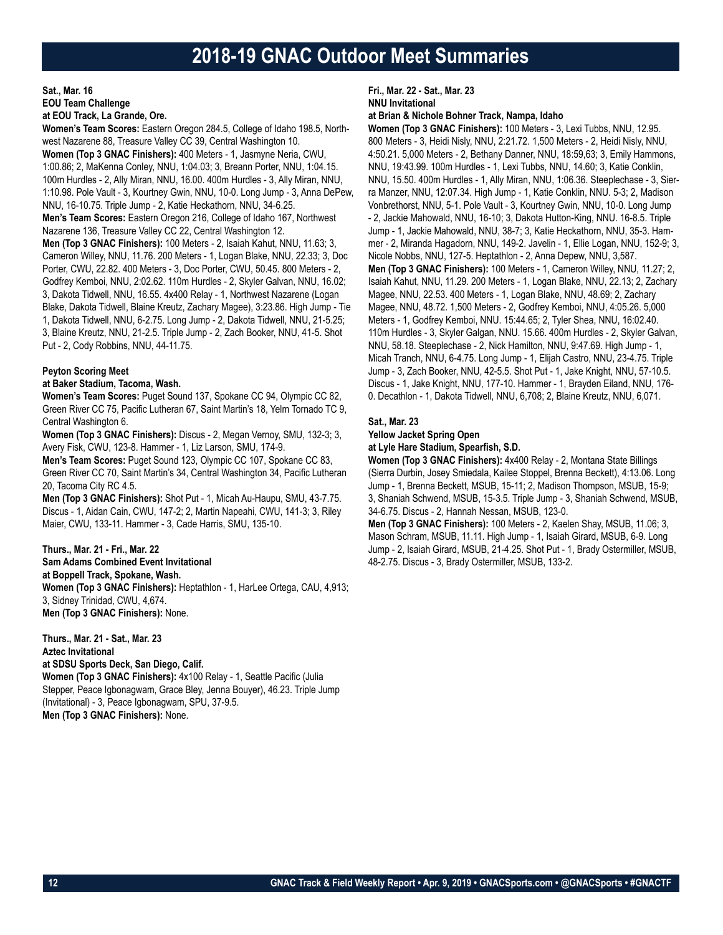### **Sat., Mar. 16 EOU Team Challenge at EOU Track, La Grande, Ore.**

**Women's Team Scores:** Eastern Oregon 284.5, College of Idaho 198.5, Northwest Nazarene 88, Treasure Valley CC 39, Central Washington 10. **Women (Top 3 GNAC Finishers):** 400 Meters - 1, Jasmyne Neria, CWU, 1:00.86; 2, MaKenna Conley, NNU, 1:04.03; 3, Breann Porter, NNU, 1:04.15. 100m Hurdles - 2, Ally Miran, NNU, 16.00. 400m Hurdles - 3, Ally Miran, NNU, 1:10.98. Pole Vault - 3, Kourtney Gwin, NNU, 10-0. Long Jump - 3, Anna DePew, NNU, 16-10.75. Triple Jump - 2, Katie Heckathorn, NNU, 34-6.25. **Men's Team Scores:** Eastern Oregon 216, College of Idaho 167, Northwest Nazarene 136, Treasure Valley CC 22, Central Washington 12. **Men (Top 3 GNAC Finishers):** 100 Meters - 2, Isaiah Kahut, NNU, 11.63; 3, Cameron Willey, NNU, 11.76. 200 Meters - 1, Logan Blake, NNU, 22.33; 3, Doc Porter, CWU, 22.82. 400 Meters - 3, Doc Porter, CWU, 50.45. 800 Meters - 2, Godfrey Kemboi, NNU, 2:02.62. 110m Hurdles - 2, Skyler Galvan, NNU, 16.02; 3, Dakota Tidwell, NNU, 16.55. 4x400 Relay - 1, Northwest Nazarene (Logan Blake, Dakota Tidwell, Blaine Kreutz, Zachary Magee), 3:23.86. High Jump - Tie 1, Dakota Tidwell, NNU, 6-2.75. Long Jump - 2, Dakota Tidwell, NNU, 21-5.25; 3, Blaine Kreutz, NNU, 21-2.5. Triple Jump - 2, Zach Booker, NNU, 41-5. Shot Put - 2, Cody Robbins, NNU, 44-11.75.

### **Peyton Scoring Meet**

### **at Baker Stadium, Tacoma, Wash.**

**Women's Team Scores:** Puget Sound 137, Spokane CC 94, Olympic CC 82, Green River CC 75, Pacific Lutheran 67, Saint Martin's 18, Yelm Tornado TC 9, Central Washington 6.

**Women (Top 3 GNAC Finishers):** Discus - 2, Megan Vernoy, SMU, 132-3; 3, Avery Fisk, CWU, 123-8. Hammer - 1, Liz Larson, SMU, 174-9.

**Men's Team Scores:** Puget Sound 123, Olympic CC 107, Spokane CC 83, Green River CC 70, Saint Martin's 34, Central Washington 34, Pacific Lutheran 20, Tacoma City RC 4.5.

**Men (Top 3 GNAC Finishers):** Shot Put - 1, Micah Au-Haupu, SMU, 43-7.75. Discus - 1, Aidan Cain, CWU, 147-2; 2, Martin Napeahi, CWU, 141-3; 3, Riley Maier, CWU, 133-11. Hammer - 3, Cade Harris, SMU, 135-10.

### **Thurs., Mar. 21 - Fri., Mar. 22**

**Sam Adams Combined Event Invitational at Boppell Track, Spokane, Wash. Women (Top 3 GNAC Finishers):** Heptathlon - 1, HarLee Ortega, CAU, 4,913; 3, Sidney Trinidad, CWU, 4,674. **Men (Top 3 GNAC Finishers):** None.

**Thurs., Mar. 21 - Sat., Mar. 23 Aztec Invitational**

**at SDSU Sports Deck, San Diego, Calif.**

**Women (Top 3 GNAC Finishers):** 4x100 Relay - 1, Seattle Pacific (Julia Stepper, Peace Igbonagwam, Grace Bley, Jenna Bouyer), 46.23. Triple Jump (Invitational) - 3, Peace Igbonagwam, SPU, 37-9.5. **Men (Top 3 GNAC Finishers):** None.

### **Fri., Mar. 22 - Sat., Mar. 23 NNU Invitational**

**at Brian & Nichole Bohner Track, Nampa, Idaho**

**Women (Top 3 GNAC Finishers):** 100 Meters - 3, Lexi Tubbs, NNU, 12.95. 800 Meters - 3, Heidi Nisly, NNU, 2:21.72. 1,500 Meters - 2, Heidi Nisly, NNU, 4:50.21. 5,000 Meters - 2, Bethany Danner, NNU, 18:59,63; 3, Emily Hammons, NNU, 19:43.99. 100m Hurdles - 1, Lexi Tubbs, NNU, 14.60; 3, Katie Conklin, NNU, 15.50. 400m Hurdles - 1, Ally Miran, NNU, 1:06.36. Steeplechase - 3, Sierra Manzer, NNU, 12:07.34. High Jump - 1, Katie Conklin, NNU. 5-3; 2, Madison Vonbrethorst, NNU, 5-1. Pole Vault - 3, Kourtney Gwin, NNU, 10-0. Long Jump - 2, Jackie Mahowald, NNU, 16-10; 3, Dakota Hutton-King, NNU. 16-8.5. Triple Jump - 1, Jackie Mahowald, NNU, 38-7; 3, Katie Heckathorn, NNU, 35-3. Hammer - 2, Miranda Hagadorn, NNU, 149-2. Javelin - 1, Ellie Logan, NNU, 152-9; 3, Nicole Nobbs, NNU, 127-5. Heptathlon - 2, Anna Depew, NNU, 3,587. **Men (Top 3 GNAC Finishers):** 100 Meters - 1, Cameron Willey, NNU, 11.27; 2, Isaiah Kahut, NNU, 11.29. 200 Meters - 1, Logan Blake, NNU, 22.13; 2, Zachary Magee, NNU, 22.53. 400 Meters - 1, Logan Blake, NNU, 48.69; 2, Zachary Magee, NNU, 48.72. 1,500 Meters - 2, Godfrey Kemboi, NNU, 4:05.26. 5,000 Meters - 1, Godfrey Kemboi, NNU. 15:44.65; 2, Tyler Shea, NNU, 16:02.40. 110m Hurdles - 3, Skyler Galgan, NNU. 15.66. 400m Hurdles - 2, Skyler Galvan, NNU, 58.18. Steeplechase - 2, Nick Hamilton, NNU, 9:47.69. High Jump - 1, Micah Tranch, NNU, 6-4.75. Long Jump - 1, Elijah Castro, NNU, 23-4.75. Triple Jump - 3, Zach Booker, NNU, 42-5.5. Shot Put - 1, Jake Knight, NNU, 57-10.5. Discus - 1, Jake Knight, NNU, 177-10. Hammer - 1, Brayden Eiland, NNU, 176- 0. Decathlon - 1, Dakota Tidwell, NNU, 6,708; 2, Blaine Kreutz, NNU, 6,071.

### **Sat., Mar. 23**

**Yellow Jacket Spring Open**

#### **at Lyle Hare Stadium, Spearfish, S.D.**

**Women (Top 3 GNAC Finishers):** 4x400 Relay - 2, Montana State Billings (Sierra Durbin, Josey Smiedala, Kailee Stoppel, Brenna Beckett), 4:13.06. Long Jump - 1, Brenna Beckett, MSUB, 15-11; 2, Madison Thompson, MSUB, 15-9; 3, Shaniah Schwend, MSUB, 15-3.5. Triple Jump - 3, Shaniah Schwend, MSUB, 34-6.75. Discus - 2, Hannah Nessan, MSUB, 123-0.

**Men (Top 3 GNAC Finishers):** 100 Meters - 2, Kaelen Shay, MSUB, 11.06; 3, Mason Schram, MSUB, 11.11. High Jump - 1, Isaiah Girard, MSUB, 6-9. Long Jump - 2, Isaiah Girard, MSUB, 21-4.25. Shot Put - 1, Brady Ostermiller, MSUB, 48-2.75. Discus - 3, Brady Ostermiller, MSUB, 133-2.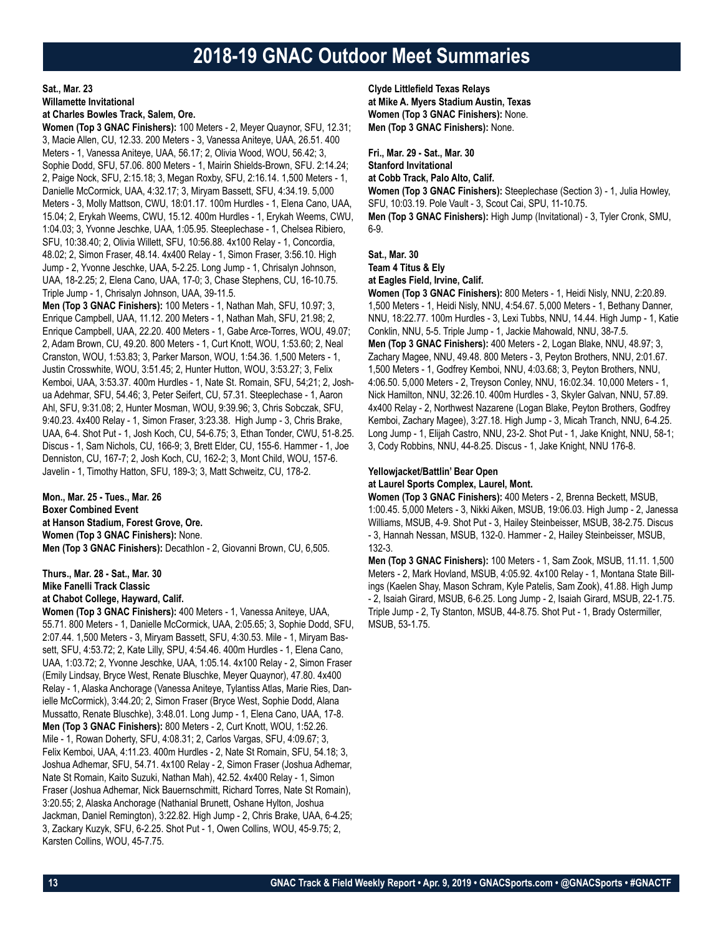### **2018-19 GNAC Outdoor Meet Summaries**

### **Sat., Mar. 23**

**Willamette Invitational**

### **at Charles Bowles Track, Salem, Ore.**

**Women (Top 3 GNAC Finishers):** 100 Meters - 2, Meyer Quaynor, SFU, 12.31; 3, Macie Allen, CU, 12.33. 200 Meters - 3, Vanessa Aniteye, UAA, 26.51. 400 Meters - 1, Vanessa Aniteye, UAA, 56.17; 2, Olivia Wood, WOU, 56.42; 3, Sophie Dodd, SFU, 57.06. 800 Meters - 1, Mairin Shields-Brown, SFU. 2:14.24; 2, Paige Nock, SFU, 2:15.18; 3, Megan Roxby, SFU, 2:16.14. 1,500 Meters - 1, Danielle McCormick, UAA, 4:32.17; 3, Miryam Bassett, SFU, 4:34.19. 5,000 Meters - 3, Molly Mattson, CWU, 18:01.17. 100m Hurdles - 1, Elena Cano, UAA, 15.04; 2, Erykah Weems, CWU, 15.12. 400m Hurdles - 1, Erykah Weems, CWU, 1:04.03; 3, Yvonne Jeschke, UAA, 1:05.95. Steeplechase - 1, Chelsea Ribiero, SFU, 10:38.40; 2, Olivia Willett, SFU, 10:56.88. 4x100 Relay - 1, Concordia, 48.02; 2, Simon Fraser, 48.14. 4x400 Relay - 1, Simon Fraser, 3:56.10. High Jump - 2, Yvonne Jeschke, UAA, 5-2.25. Long Jump - 1, Chrisalyn Johnson, UAA, 18-2.25; 2, Elena Cano, UAA, 17-0; 3, Chase Stephens, CU, 16-10.75. Triple Jump - 1, Chrisalyn Johnson, UAA, 39-11.5.

**Men (Top 3 GNAC Finishers):** 100 Meters - 1, Nathan Mah, SFU, 10.97; 3, Enrique Campbell, UAA, 11.12. 200 Meters - 1, Nathan Mah, SFU, 21.98; 2, Enrique Campbell, UAA, 22.20. 400 Meters - 1, Gabe Arce-Torres, WOU, 49.07; 2, Adam Brown, CU, 49.20. 800 Meters - 1, Curt Knott, WOU, 1:53.60; 2, Neal Cranston, WOU, 1:53.83; 3, Parker Marson, WOU, 1:54.36. 1,500 Meters - 1, Justin Crosswhite, WOU, 3:51.45; 2, Hunter Hutton, WOU, 3:53.27; 3, Felix Kemboi, UAA, 3:53.37. 400m Hurdles - 1, Nate St. Romain, SFU, 54;21; 2, Joshua Adehmar, SFU, 54.46; 3, Peter Seifert, CU, 57.31. Steeplechase - 1, Aaron Ahl, SFU, 9:31.08; 2, Hunter Mosman, WOU, 9:39.96; 3, Chris Sobczak, SFU, 9:40.23. 4x400 Relay - 1, Simon Fraser, 3:23.38. High Jump - 3, Chris Brake, UAA, 6-4. Shot Put - 1, Josh Koch, CU, 54-6.75; 3, Ethan Tonder, CWU, 51-8.25. Discus - 1, Sam Nichols, CU, 166-9; 3, Brett Elder, CU, 155-6. Hammer - 1, Joe Denniston, CU, 167-7; 2, Josh Koch, CU, 162-2; 3, Mont Child, WOU, 157-6. Javelin - 1, Timothy Hatton, SFU, 189-3; 3, Matt Schweitz, CU, 178-2.

**Mon., Mar. 25 - Tues., Mar. 26 Boxer Combined Event at Hanson Stadium, Forest Grove, Ore. Women (Top 3 GNAC Finishers):** None. **Men (Top 3 GNAC Finishers):** Decathlon - 2, Giovanni Brown, CU, 6,505.

### **Thurs., Mar. 28 - Sat., Mar. 30 Mike Fanelli Track Classic at Chabot College, Hayward, Calif.**

**Women (Top 3 GNAC Finishers):** 400 Meters - 1, Vanessa Aniteye, UAA, 55.71. 800 Meters - 1, Danielle McCormick, UAA, 2:05.65; 3, Sophie Dodd, SFU, 2:07.44. 1,500 Meters - 3, Miryam Bassett, SFU, 4:30.53. Mile - 1, Miryam Bassett, SFU, 4:53.72; 2, Kate Lilly, SPU, 4:54.46. 400m Hurdles - 1, Elena Cano, UAA, 1:03.72; 2, Yvonne Jeschke, UAA, 1:05.14. 4x100 Relay - 2, Simon Fraser (Emily Lindsay, Bryce West, Renate Bluschke, Meyer Quaynor), 47.80. 4x400 Relay - 1, Alaska Anchorage (Vanessa Aniteye, Tylantiss Atlas, Marie Ries, Danielle McCormick), 3:44.20; 2, Simon Fraser (Bryce West, Sophie Dodd, Alana Mussatto, Renate Bluschke), 3:48.01. Long Jump - 1, Elena Cano, UAA, 17-8. **Men (Top 3 GNAC Finishers):** 800 Meters - 2, Curt Knott, WOU, 1:52.26. Mile - 1, Rowan Doherty, SFU, 4:08.31; 2, Carlos Vargas, SFU, 4:09.67; 3, Felix Kemboi, UAA, 4:11.23. 400m Hurdles - 2, Nate St Romain, SFU, 54.18; 3, Joshua Adhemar, SFU, 54.71. 4x100 Relay - 2, Simon Fraser (Joshua Adhemar, Nate St Romain, Kaito Suzuki, Nathan Mah), 42.52. 4x400 Relay - 1, Simon Fraser (Joshua Adhemar, Nick Bauernschmitt, Richard Torres, Nate St Romain), 3:20.55; 2, Alaska Anchorage (Nathanial Brunett, Oshane Hylton, Joshua Jackman, Daniel Remington), 3:22.82. High Jump - 2, Chris Brake, UAA, 6-4.25; 3, Zackary Kuzyk, SFU, 6-2.25. Shot Put - 1, Owen Collins, WOU, 45-9.75; 2, Karsten Collins, WOU, 45-7.75.

**Clyde Littlefield Texas Relays at Mike A. Myers Stadium Austin, Texas Women (Top 3 GNAC Finishers):** None. **Men (Top 3 GNAC Finishers):** None.

**Fri., Mar. 29 - Sat., Mar. 30 Stanford Invitational at Cobb Track, Palo Alto, Calif. Women (Top 3 GNAC Finishers):** Steeplechase (Section 3) - 1, Julia Howley, SFU, 10:03.19. Pole Vault - 3, Scout Cai, SPU, 11-10.75. **Men (Top 3 GNAC Finishers):** High Jump (Invitational) - 3, Tyler Cronk, SMU, 6-9.

### **Sat., Mar. 30 Team 4 Titus & Ely at Eagles Field, Irvine, Calif.**

**Women (Top 3 GNAC Finishers):** 800 Meters - 1, Heidi Nisly, NNU, 2:20.89. 1,500 Meters - 1, Heidi Nisly, NNU, 4:54.67. 5,000 Meters - 1, Bethany Danner, NNU, 18:22.77. 100m Hurdles - 3, Lexi Tubbs, NNU, 14.44. High Jump - 1, Katie Conklin, NNU, 5-5. Triple Jump - 1, Jackie Mahowald, NNU, 38-7.5. **Men (Top 3 GNAC Finishers):** 400 Meters - 2, Logan Blake, NNU, 48.97; 3, Zachary Magee, NNU, 49.48. 800 Meters - 3, Peyton Brothers, NNU, 2:01.67. 1,500 Meters - 1, Godfrey Kemboi, NNU, 4:03.68; 3, Peyton Brothers, NNU, 4:06.50. 5,000 Meters - 2, Treyson Conley, NNU, 16:02.34. 10,000 Meters - 1, Nick Hamilton, NNU, 32:26.10. 400m Hurdles - 3, Skyler Galvan, NNU, 57.89. 4x400 Relay - 2, Northwest Nazarene (Logan Blake, Peyton Brothers, Godfrey Kemboi, Zachary Magee), 3:27.18. High Jump - 3, Micah Tranch, NNU, 6-4.25. Long Jump - 1, Elijah Castro, NNU, 23-2. Shot Put - 1, Jake Knight, NNU, 58-1; 3, Cody Robbins, NNU, 44-8.25. Discus - 1, Jake Knight, NNU 176-8.

### **Yellowjacket/Battlin' Bear Open at Laurel Sports Complex, Laurel, Mont.**

**Women (Top 3 GNAC Finishers):** 400 Meters - 2, Brenna Beckett, MSUB, 1:00.45. 5,000 Meters - 3, Nikki Aiken, MSUB, 19:06.03. High Jump - 2, Janessa Williams, MSUB, 4-9. Shot Put - 3, Hailey Steinbeisser, MSUB, 38-2.75. Discus - 3, Hannah Nessan, MSUB, 132-0. Hammer - 2, Hailey Steinbeisser, MSUB, 132-3.

**Men (Top 3 GNAC Finishers):** 100 Meters - 1, Sam Zook, MSUB, 11.11. 1,500 Meters - 2, Mark Hovland, MSUB, 4:05.92. 4x100 Relay - 1, Montana State Billings (Kaelen Shay, Mason Schram, Kyle Patelis, Sam Zook), 41.88. High Jump - 2, Isaiah Girard, MSUB, 6-6.25. Long Jump - 2, Isaiah Girard, MSUB, 22-1.75. Triple Jump - 2, Ty Stanton, MSUB, 44-8.75. Shot Put - 1, Brady Ostermiller, MSUB, 53-1.75.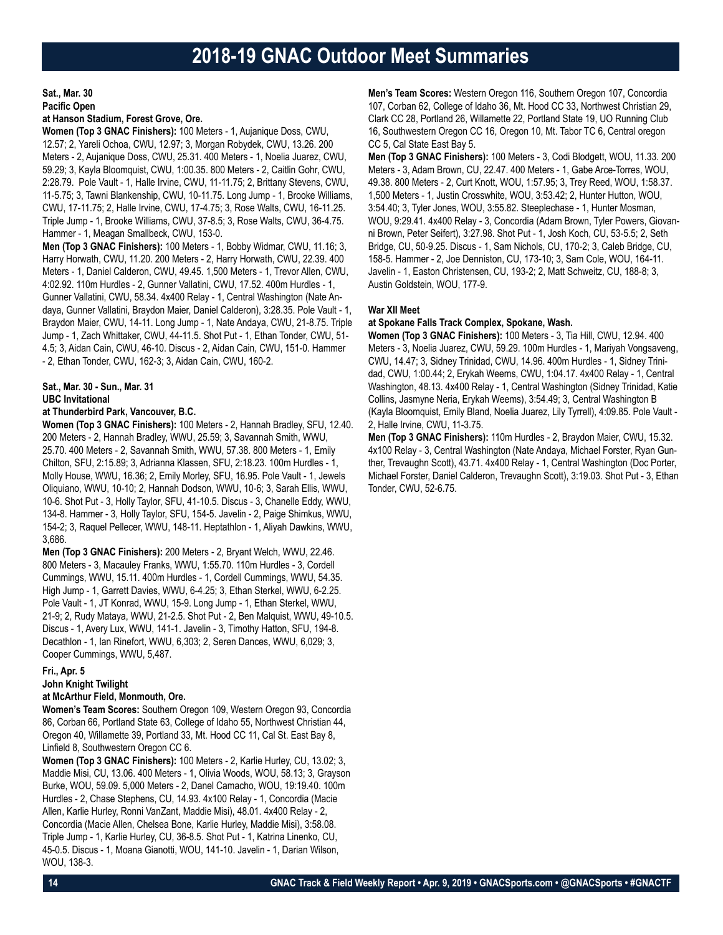**Sat., Mar. 30 Pacific Open**

### **at Hanson Stadium, Forest Grove, Ore.**

**Women (Top 3 GNAC Finishers):** 100 Meters - 1, Aujanique Doss, CWU, 12.57; 2, Yareli Ochoa, CWU, 12.97; 3, Morgan Robydek, CWU, 13.26. 200 Meters - 2, Aujanique Doss, CWU, 25.31. 400 Meters - 1, Noelia Juarez, CWU, 59.29; 3, Kayla Bloomquist, CWU, 1:00.35. 800 Meters - 2, Caitlin Gohr, CWU, 2:28.79. Pole Vault - 1, Halle Irvine, CWU, 11-11.75; 2, Brittany Stevens, CWU, 11-5.75; 3, Tawni Blankenship, CWU, 10-11.75. Long Jump - 1, Brooke Williams, CWU, 17-11.75; 2, Halle Irvine, CWU, 17-4.75; 3, Rose Walts, CWU, 16-11.25. Triple Jump - 1, Brooke Williams, CWU, 37-8.5; 3, Rose Walts, CWU, 36-4.75. Hammer - 1, Meagan Smallbeck, CWU, 153-0.

**Men (Top 3 GNAC Finishers):** 100 Meters - 1, Bobby Widmar, CWU, 11.16; 3, Harry Horwath, CWU, 11.20. 200 Meters - 2, Harry Horwath, CWU, 22.39. 400 Meters - 1, Daniel Calderon, CWU, 49.45. 1,500 Meters - 1, Trevor Allen, CWU, 4:02.92. 110m Hurdles - 2, Gunner Vallatini, CWU, 17.52. 400m Hurdles - 1, Gunner Vallatini, CWU, 58.34. 4x400 Relay - 1, Central Washington (Nate Andaya, Gunner Vallatini, Braydon Maier, Daniel Calderon), 3:28.35. Pole Vault - 1, Braydon Maier, CWU, 14-11. Long Jump - 1, Nate Andaya, CWU, 21-8.75. Triple Jump - 1, Zach Whittaker, CWU, 44-11.5. Shot Put - 1, Ethan Tonder, CWU, 51- 4.5; 3, Aidan Cain, CWU, 46-10. Discus - 2, Aidan Cain, CWU, 151-0. Hammer - 2, Ethan Tonder, CWU, 162-3; 3, Aidan Cain, CWU, 160-2.

### **Sat., Mar. 30 - Sun., Mar. 31 UBC Invitational**

### **at Thunderbird Park, Vancouver, B.C.**

**Women (Top 3 GNAC Finishers):** 100 Meters - 2, Hannah Bradley, SFU, 12.40. 200 Meters - 2, Hannah Bradley, WWU, 25.59; 3, Savannah Smith, WWU, 25.70. 400 Meters - 2, Savannah Smith, WWU, 57.38. 800 Meters - 1, Emily Chilton, SFU, 2:15.89; 3, Adrianna Klassen, SFU, 2:18.23. 100m Hurdles - 1, Molly House, WWU, 16.36; 2, Emily Morley, SFU, 16.95. Pole Vault - 1, Jewels Oliquiano, WWU, 10-10; 2, Hannah Dodson, WWU, 10-6; 3, Sarah Ellis, WWU, 10-6. Shot Put - 3, Holly Taylor, SFU, 41-10.5. Discus - 3, Chanelle Eddy, WWU, 134-8. Hammer - 3, Holly Taylor, SFU, 154-5. Javelin - 2, Paige Shimkus, WWU, 154-2; 3, Raquel Pellecer, WWU, 148-11. Heptathlon - 1, Aliyah Dawkins, WWU, 3,686.

**Men (Top 3 GNAC Finishers):** 200 Meters - 2, Bryant Welch, WWU, 22.46. 800 Meters - 3, Macauley Franks, WWU, 1:55.70. 110m Hurdles - 3, Cordell Cummings, WWU, 15.11. 400m Hurdles - 1, Cordell Cummings, WWU, 54.35. High Jump - 1, Garrett Davies, WWU, 6-4.25; 3, Ethan Sterkel, WWU, 6-2.25. Pole Vault - 1, JT Konrad, WWU, 15-9. Long Jump - 1, Ethan Sterkel, WWU, 21-9; 2, Rudy Mataya, WWU, 21-2.5. Shot Put - 2, Ben Malquist, WWU, 49-10.5. Discus - 1, Avery Lux, WWU, 141-1. Javelin - 3, Timothy Hatton, SFU, 194-8. Decathlon - 1, Ian Rinefort, WWU, 6,303; 2, Seren Dances, WWU, 6,029; 3, Cooper Cummings, WWU, 5,487.

### **Fri., Apr. 5**

### **John Knight Twilight at McArthur Field, Monmouth, Ore.**

**Women's Team Scores:** Southern Oregon 109, Western Oregon 93, Concordia

86, Corban 66, Portland State 63, College of Idaho 55, Northwest Christian 44, Oregon 40, Willamette 39, Portland 33, Mt. Hood CC 11, Cal St. East Bay 8, Linfield 8, Southwestern Oregon CC 6.

**Women (Top 3 GNAC Finishers):** 100 Meters - 2, Karlie Hurley, CU, 13.02; 3, Maddie Misi, CU, 13.06. 400 Meters - 1, Olivia Woods, WOU, 58.13; 3, Grayson Burke, WOU, 59.09. 5,000 Meters - 2, Danel Camacho, WOU, 19:19.40. 100m Hurdles - 2, Chase Stephens, CU, 14.93. 4x100 Relay - 1, Concordia (Macie Allen, Karlie Hurley, Ronni VanZant, Maddie Misi), 48.01. 4x400 Relay - 2, Concordia (Macie Allen, Chelsea Bone, Karlie Hurley, Maddie Misi), 3:58.08. Triple Jump - 1, Karlie Hurley, CU, 36-8.5. Shot Put - 1, Katrina Linenko, CU, 45-0.5. Discus - 1, Moana Gianotti, WOU, 141-10. Javelin - 1, Darian Wilson, WOU, 138-3.

**Men's Team Scores:** Western Oregon 116, Southern Oregon 107, Concordia 107, Corban 62, College of Idaho 36, Mt. Hood CC 33, Northwest Christian 29, Clark CC 28, Portland 26, Willamette 22, Portland State 19, UO Running Club 16, Southwestern Oregon CC 16, Oregon 10, Mt. Tabor TC 6, Central oregon CC 5, Cal State East Bay 5.

**Men (Top 3 GNAC Finishers):** 100 Meters - 3, Codi Blodgett, WOU, 11.33. 200 Meters - 3, Adam Brown, CU, 22.47. 400 Meters - 1, Gabe Arce-Torres, WOU, 49.38. 800 Meters - 2, Curt Knott, WOU, 1:57.95; 3, Trey Reed, WOU, 1:58.37. 1,500 Meters - 1, Justin Crosswhite, WOU, 3:53.42; 2, Hunter Hutton, WOU, 3:54.40; 3, Tyler Jones, WOU, 3:55.82. Steeplechase - 1, Hunter Mosman, WOU, 9:29.41. 4x400 Relay - 3, Concordia (Adam Brown, Tyler Powers, Giovanni Brown, Peter Seifert), 3:27.98. Shot Put - 1, Josh Koch, CU, 53-5.5; 2, Seth Bridge, CU, 50-9.25. Discus - 1, Sam Nichols, CU, 170-2; 3, Caleb Bridge, CU, 158-5. Hammer - 2, Joe Denniston, CU, 173-10; 3, Sam Cole, WOU, 164-11. Javelin - 1, Easton Christensen, CU, 193-2; 2, Matt Schweitz, CU, 188-8; 3, Austin Goldstein, WOU, 177-9.

### **War XII Meet**

**at Spokane Falls Track Complex, Spokane, Wash.**

**Women (Top 3 GNAC Finishers):** 100 Meters - 3, Tia Hill, CWU, 12.94. 400 Meters - 3, Noelia Juarez, CWU, 59.29. 100m Hurdles - 1, Mariyah Vongsaveng, CWU, 14.47; 3, Sidney Trinidad, CWU, 14.96. 400m Hurdles - 1, Sidney Trinidad, CWU, 1:00.44; 2, Erykah Weems, CWU, 1:04.17. 4x400 Relay - 1, Central Washington, 48.13. 4x400 Relay - 1, Central Washington (Sidney Trinidad, Katie Collins, Jasmyne Neria, Erykah Weems), 3:54.49; 3, Central Washington B (Kayla Bloomquist, Emily Bland, Noelia Juarez, Lily Tyrrell), 4:09.85. Pole Vault - 2, Halle Irvine, CWU, 11-3.75.

**Men (Top 3 GNAC Finishers):** 110m Hurdles - 2, Braydon Maier, CWU, 15.32. 4x100 Relay - 3, Central Washington (Nate Andaya, Michael Forster, Ryan Gunther, Trevaughn Scott), 43.71. 4x400 Relay - 1, Central Washington (Doc Porter, Michael Forster, Daniel Calderon, Trevaughn Scott), 3:19.03. Shot Put - 3, Ethan Tonder, CWU, 52-6.75.